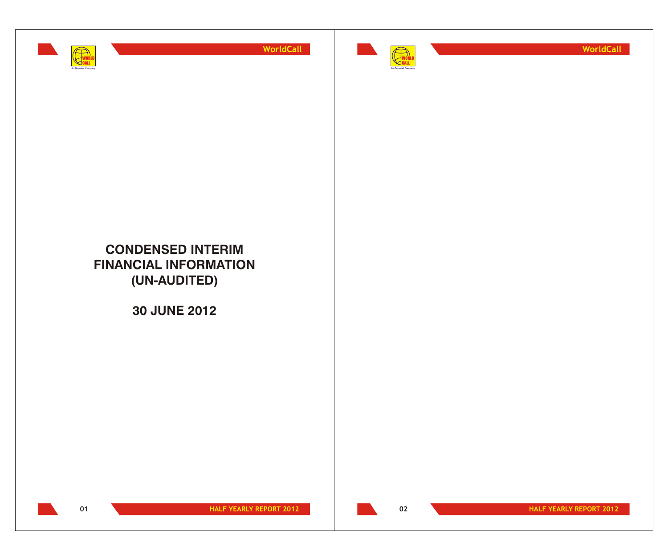



**WorldCall**

# **CONDENSED INTERIM FINANCIAL INFORMATION (UN-AUDITED)**

**30 JUNE 2012**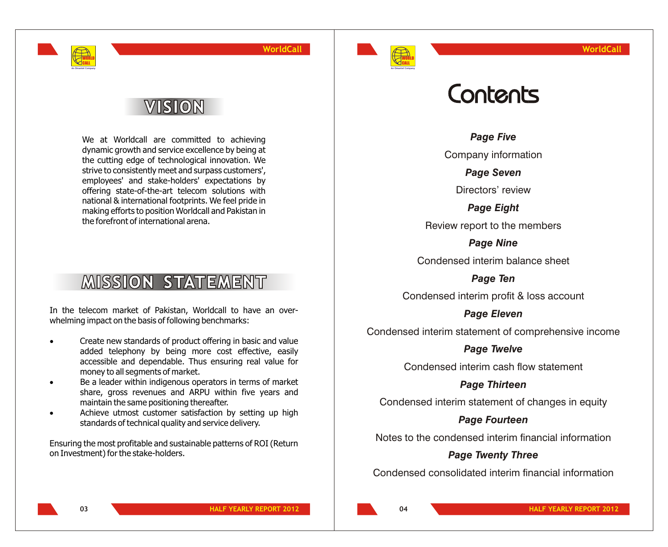

# VISION

WORLD CALL **An Omantel Company**

> We at Worldcall are committed to achieving dynamic growth and service excellence by being at the cutting edge of technological innovation. We strive to consistently meet and surpass customers', employees' and stake-holders' expectations by offering state-of-the-art telecom solutions with national & international footprints. We feel pride in making efforts to position Worldcall and Pakistan in the forefront of international arena.

# **MISSION STATEMENT**

In the telecom market of Pakistan, Worldcall to have an overwhelming impact on the basis of following benchmarks:

> Create new standards of product offering in basic and value added telephony by being more cost effective, easily accessible and dependable. Thus ensuring real value for money to all segments of market.

> Be a leader within indigenous operators in terms of market share, gross revenues and ARPU within five years and maintain the same positioning thereafter.

> Achieve utmost customer satisfaction by setting up high standards of technical quality and service delivery.

Ensuring the most profitable and sustainable patterns of ROI (Return on Investment) for the stake-holders.

# Contents

*Page Five*

Company information

*Page Seven*

Directors' review

*Page Eight*

Review report to the members

*Page Nine* Condensed interim balance sheet

*Page Ten*

Condensed interim profit & loss account

*Page Eleven* Condensed interim statement of comprehensive income

*Page Twelve*

Condensed interim cash flow statement

*Page Thirteen*

Condensed interim statement of changes in equity

## *Page Fourteen*

Notes to the condensed interim financial information

## *Page Twenty Three*

Condensed consolidated interim financial information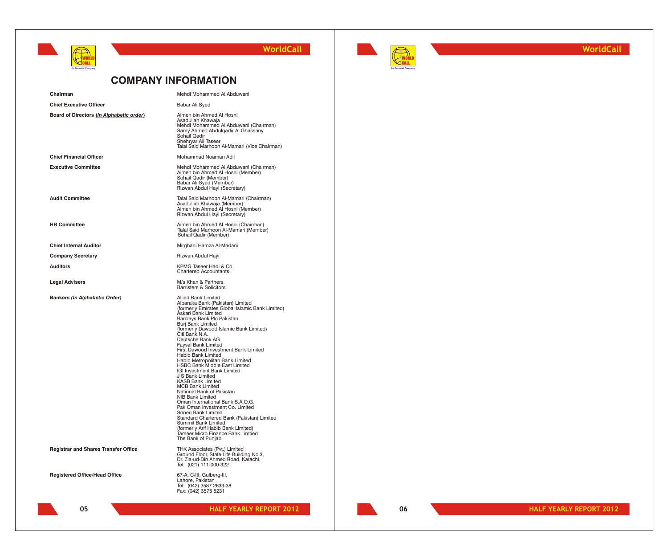



**WorldCall**

## **COMPANY INFORMATION**

| Chairman                                    | Mehdi Mohammed Al Abduwani                                                                                                                                                                                                                                                                                                                                                                                                                                                                                                                                                                                                                                                                                                                                                                                                                                                 |
|---------------------------------------------|----------------------------------------------------------------------------------------------------------------------------------------------------------------------------------------------------------------------------------------------------------------------------------------------------------------------------------------------------------------------------------------------------------------------------------------------------------------------------------------------------------------------------------------------------------------------------------------------------------------------------------------------------------------------------------------------------------------------------------------------------------------------------------------------------------------------------------------------------------------------------|
| <b>Chief Executive Officer</b>              | Babar Ali Syed                                                                                                                                                                                                                                                                                                                                                                                                                                                                                                                                                                                                                                                                                                                                                                                                                                                             |
| Board of Directors (In Alphabetic order)    | Aimen bin Ahmed Al Hosni<br>Asadullah Khawaja<br>Mehdi Mohammed Al Abduwani (Chairman)<br>Samy Ahmed Abdulqadir Al Ghassany<br>Sohail Qadir<br>Shehryar Ali Taseer<br>Talal Said Marhoon Al-Mamari (Vice Chairman)                                                                                                                                                                                                                                                                                                                                                                                                                                                                                                                                                                                                                                                         |
| <b>Chief Financial Officer</b>              | Mohammad Noaman Adil                                                                                                                                                                                                                                                                                                                                                                                                                                                                                                                                                                                                                                                                                                                                                                                                                                                       |
| <b>Executive Committee</b>                  | Mehdi Mohammed Al Abduwani (Chairman)<br>Aimen bin Ahmed Al Hosni (Member)<br>Sohail Qadir (Member)<br>Babar Ali Syed (Member)<br>Rizwan Abdul Hayi (Secretary)                                                                                                                                                                                                                                                                                                                                                                                                                                                                                                                                                                                                                                                                                                            |
| <b>Audit Committee</b>                      | Talal Said Marhoon Al-Mamari (Chairman)<br>Asadullah Khawaja (Member)<br>Aimen bin Ahmed Al Hosni (Member)<br>Rizwan Abdul Hayi (Secretary)                                                                                                                                                                                                                                                                                                                                                                                                                                                                                                                                                                                                                                                                                                                                |
| <b>HR Committee</b>                         | Aimen bin Ahmed Al Hosni (Chairman)<br>Talal Said Marhoon Al-Mamari (Member)<br>Sohail Qadir (Member)                                                                                                                                                                                                                                                                                                                                                                                                                                                                                                                                                                                                                                                                                                                                                                      |
| <b>Chief Internal Auditor</b>               | Mirghani Hamza Al-Madani                                                                                                                                                                                                                                                                                                                                                                                                                                                                                                                                                                                                                                                                                                                                                                                                                                                   |
| <b>Company Secretary</b>                    | Rizwan Abdul Hayi                                                                                                                                                                                                                                                                                                                                                                                                                                                                                                                                                                                                                                                                                                                                                                                                                                                          |
| <b>Auditors</b>                             | KPMG Taseer Hadi & Co.<br><b>Chartered Accountants</b>                                                                                                                                                                                                                                                                                                                                                                                                                                                                                                                                                                                                                                                                                                                                                                                                                     |
| <b>Legal Advisers</b>                       | M/s Khan & Partners<br><b>Barristers &amp; Solicitors</b>                                                                                                                                                                                                                                                                                                                                                                                                                                                                                                                                                                                                                                                                                                                                                                                                                  |
| <b>Bankers (In Alphabetic Order)</b>        | <b>Allied Bank Limited</b><br>Albaraka Bank (Pakistan) Limited<br>(formerly Emirates Global Islamic Bank Limited)<br>Askari Bank Limited<br>Barclays Bank Plc Pakistan<br>Burj Bank Limited<br>(formerly Dawood Islamic Bank Limited)<br>Citi Bank N.A.<br>Deutsche Bank AG<br>Faysal Bank Limited<br>First Dawood Investment Bank Limited<br>Habib Bank Limited<br>Habib Metropolitan Bank Limited<br>HSBC Bank Middle East Limited<br>IGI Investment Bank Limited<br>J S Bank Limited<br><b>KASB Bank Limited</b><br><b>MCB Bank Limited</b><br>National Bank of Pakistan<br><b>NIB Bank Limited</b><br>Oman International Bank S.A.O.G.<br>Pak Oman Investment Co. Limited<br>Soneri Bank Limited<br>Standard Chartered Bank (Pakistan) Limited<br>Summit Bank Limited<br>(formerly Arif Habib Bank Limited)<br>Tameer Micro Finance Bank Limtied<br>The Bank of Punjab |
| <b>Registrar and Shares Transfer Office</b> | THK Associates (Pvt.) Limited<br>Ground Floor, State Life Building No.3,<br>Dr. Zia-ud-Din Ahmed Road, Karachi.<br>Tel: (021) 111-000-322                                                                                                                                                                                                                                                                                                                                                                                                                                                                                                                                                                                                                                                                                                                                  |
| <b>Registered Office/Head Office</b>        | 67-A, C/III, Gulberg-III,<br>Lahore, Pakistan<br>Tel: (042) 3587 2633-38<br>Fax: (042) 3575 5231                                                                                                                                                                                                                                                                                                                                                                                                                                                                                                                                                                                                                                                                                                                                                                           |
| 05                                          | <b>HALF YEARLY REPORT 2012</b>                                                                                                                                                                                                                                                                                                                                                                                                                                                                                                                                                                                                                                                                                                                                                                                                                                             |

**06**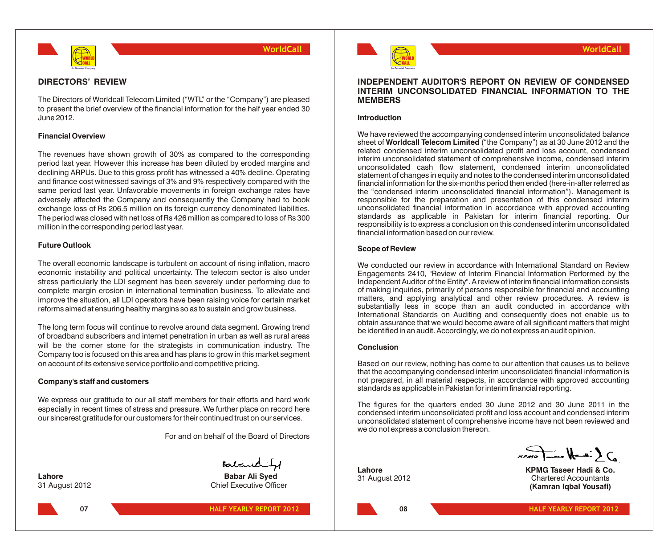

## **DIRECTORS' REVIEW**

The Directors of Worldcall Telecom Limited ("WTL" or the "Company") are pleased to present the brief overview of the financial information for the half year ended 30 June 2012.

## **Financial Overview**

The revenues have shown growth of 30% as compared to the corresponding period last year. However this increase has been diluted by eroded margins and declining ARPUs. Due to this gross profit has witnessed a 40% decline. Operating and finance cost witnessed savings of 3% and 9% respectively compared with the same period last year. Unfavorable movements in foreign exchange rates have adversely affected the Company and consequently the Company had to book exchange loss of Rs 206.5 million on its foreign currency denominated liabilities. The period was closed with net loss of Rs 426 million as compared to loss of Rs 300 million in the corresponding period last year.

## **Future Outlook**

The overall economic landscape is turbulent on account of rising inflation, macro economic instability and political uncertainty. The telecom sector is also under stress particularly the LDI segment has been severely under performing due to complete margin erosion in international termination business. To alleviate and improve the situation, all LDI operators have been raising voice for certain market reforms aimed at ensuring healthy margins so as to sustain and grow business.

The long term focus will continue to revolve around data segment. Growing trend of broadband subscribers and internet penetration in urban as well as rural areas will be the corner stone for the strategists in communication industry. The Company too is focused on this area and has plans to grow in this market segment on account of its extensive service portfolio and competitive pricing.

## **Company's staff and customers**

We express our gratitude to our all staff members for their efforts and hard work especially in recent times of stress and pressure. We further place on record here our sincerest gratitude for our customers for their continued trust on our services.

For and on behalf of the Board of Directors

Babandity

**07**

**Lahore Babar Ali Syed** 31 August 2012 Chief Executive Officer





## **INDEPENDENT AUDITOR'S REPORT ON REVIEW OF CONDENSED INTERIM UNCONSOLIDATED FINANCIAL INFORMATION TO THE MEMBERS**

## **Introduction**

We have reviewed the accompanying condensed interim unconsolidated balance sheet of **Worldcall Telecom Limited** ("the Company") as at 30 June 2012 and the related condensed interim unconsolidated profit and loss account, condensed interim unconsolidated statement of comprehensive income, condensed interim unconsolidated cash flow statement, condensed interim unconsolidated statement of changes in equity and notes to the condensed interim unconsolidated financial information for the six-months period then ended (here-in-after referred as the "condensed interim unconsolidated financial information"). Management is responsible for the preparation and presentation of this condensed interim unconsolidated financial information in accordance with approved accounting standards as applicable in Pakistan for interim financial reporting. Our responsibility is to express a conclusion on this condensed interim unconsolidated financial information based on our review.

## **Scope of Review**

We conducted our review in accordance with International Standard on Review Engagements 2410, "Review of Interim Financial Information Performed by the Independent Auditor of the Entity". A review of interim financial information consists of making inquiries, primarily of persons responsible for financial and accounting matters, and applying analytical and other review procedures. A review is substantially less in scope than an audit conducted in accordance with International Standards on Auditing and consequently does not enable us to obtain assurance that we would become aware of all significant matters that might be identified in an audit. Accordingly, we do not express an audit opinion.

## **Conclusion**

Based on our review, nothing has come to our attention that causes us to believe that the accompanying condensed interim unconsolidated financial information is not prepared, in all material respects, in accordance with approved accounting standards as applicable in Pakistan for interim financial reporting.

The figures for the quarters ended 30 June 2012 and 30 June 2011 in the condensed interim unconsolidated profit and loss account and condensed interim unconsolidated statement of comprehensive income have not been reviewed and we do not express a conclusion thereon.

 $\sum_{\mu \in \mathbb{N}}$ 

**Lahore KPMG Taseer Hadi & Co.**<br>31 August 2012 **Chartered Accountants Chartered Accountants (Kamran Iqbal Yousafi)**

**08**

**WorldCall**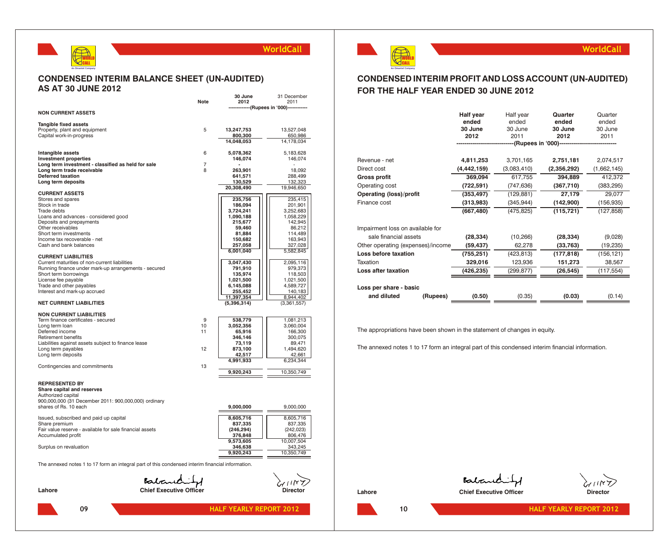

## **CONDENSED INTERIM BALANCE SHEET (UN-AUDITED) AS AT 30 JUNE 2012**

|                                                                                                  |                                | 30 June                   | 31 December           |
|--------------------------------------------------------------------------------------------------|--------------------------------|---------------------------|-----------------------|
|                                                                                                  | Note                           | 2012                      | 2011                  |
| <b>NON CURRENT ASSETS</b>                                                                        |                                | -------(Rupees in '000)-- |                       |
|                                                                                                  |                                |                           |                       |
| Tangible fixed assets                                                                            |                                |                           |                       |
| Property, plant and equipment                                                                    | 5                              | 13,247,753                | 13,527,048            |
| Capital work-in-progress                                                                         |                                | 800,300                   | 650,986               |
|                                                                                                  |                                | 14,048,053                | 14,178,034            |
|                                                                                                  |                                |                           |                       |
| Intangible assets                                                                                | 6                              | 5,078,362                 | 5,183,628             |
| <b>Investment properties</b>                                                                     |                                | 146,074                   | 146,074               |
| Long term investment - classified as held for sale                                               | 7                              |                           |                       |
| Long term trade receivable                                                                       | 8                              | 263,901                   | 18,092                |
| Deferred taxation<br>Long term deposits                                                          |                                | 641,571                   | 288,499<br>132,323    |
|                                                                                                  |                                | 130,529<br>20,308,490     | 19,946,650            |
| <b>CURRENT ASSETS</b>                                                                            |                                |                           |                       |
| Stores and spares                                                                                |                                | 235,756                   | 235,415               |
| Stock in trade                                                                                   |                                | 186,094                   | 201,901               |
| Trade debts                                                                                      |                                | 3,724,241                 | 3,252,683             |
| Loans and advances - considered good                                                             |                                | 1,090,188                 | 1,058,229             |
| Deposits and prepayments                                                                         |                                | 215,677                   | 142,945               |
| Other receivables                                                                                |                                | 59,460                    | 86,212                |
| Short term investments                                                                           |                                | 81,884                    | 114,489               |
| Income tax recoverable - net                                                                     |                                | 150,682                   | 163,943               |
| Cash and bank balances                                                                           |                                | 257,058                   | 327,028               |
| <b>CURRENT LIABILITIES</b>                                                                       |                                | 6,001,040                 | 5,582,845             |
| Current maturities of non-current liabilities                                                    |                                | 3,047,430                 | 2,095,116             |
| Running finance under mark-up arrangements - secured                                             |                                | 791,910                   | 979,373               |
| Short term borrowings                                                                            |                                | 135,974                   | 118,503               |
| License fee payable                                                                              |                                | 1,021,500                 | 1,021,500             |
| Trade and other payables                                                                         |                                | 6,145,088                 | 4,589,727             |
| Interest and mark-up accrued                                                                     |                                | 255,452                   | 140,183               |
|                                                                                                  |                                | 11,397,354                | 8,944,402             |
| <b>NET CURRENT LIABILITIES</b>                                                                   |                                | (5,396,314)               | (3,361,557)           |
| <b>NON CURRENT LIABILITIES</b>                                                                   |                                |                           |                       |
| Term finance certificates - secured                                                              | 9                              | 538,779                   | 1,081,213             |
| Long term loan                                                                                   | 10                             | 3,052,356                 | 3,060,004             |
| Deferred income                                                                                  | 11                             | 65,916                    | 166,300               |
| <b>Retirement benefits</b>                                                                       |                                | 346,146                   | 300,075               |
| Liabilities against assets subject to finance lease                                              |                                | 73,119                    | 89,471                |
| Long term payables                                                                               | 12                             | 873,100                   | 1,494,620             |
| Long term deposits                                                                               |                                | 42,517                    | 42,661                |
|                                                                                                  |                                | 4,991,933                 | 6,234,344             |
| Contingencies and commitments                                                                    | 13                             |                           |                       |
|                                                                                                  |                                | 9,920,243                 | 10,350,749            |
| <b>REPRESENTED BY</b>                                                                            |                                |                           |                       |
| Share capital and reserves                                                                       |                                |                           |                       |
| Authorized capital                                                                               |                                |                           |                       |
| 900,000,000 (31 December 2011: 900,000,000) ordinary                                             |                                |                           |                       |
| shares of Rs. 10 each                                                                            |                                | 9,000,000                 | 9,000,000             |
|                                                                                                  |                                |                           |                       |
| Issued, subscribed and paid up capital                                                           |                                | 8,605,716                 | 8,605,716             |
| Share premium                                                                                    |                                | 837,335                   | 837,335               |
| Fair value reserve - available for sale financial assets                                         |                                | (246, 294)                | (242, 023)            |
| Accumulated profit                                                                               |                                | 376,848                   | 806,476               |
|                                                                                                  |                                | 9,573,605                 | 10,007,504<br>343,245 |
| Surplus on revaluation                                                                           |                                | 346,638<br>9,920,243      | 10,350,749            |
|                                                                                                  |                                |                           |                       |
| The annexed notes 1 to 17 form an integral part of this condensed interim financial information. |                                |                           |                       |
|                                                                                                  |                                |                           |                       |
|                                                                                                  |                                |                           |                       |
|                                                                                                  | Balanchitz                     |                           |                       |
| Lahore                                                                                           | <b>Chief Executive Officer</b> |                           | Director              |
|                                                                                                  |                                |                           |                       |



## **CONDENSED INTERIM PROFIT AND LOSS ACCOUNT (UN-AUDITED) FOR THE HALF YEAR ENDED 30 JUNE 2012**

|                                   | <b>Half year</b><br>ended<br>30 June<br>2012 | Half year<br>ended<br>30 June<br>2011 | Quarter<br>ended<br>30 June<br>2012<br>-(Rupees in '000)----------------- | Quarter<br>ended<br>30 June<br>2011 |
|-----------------------------------|----------------------------------------------|---------------------------------------|---------------------------------------------------------------------------|-------------------------------------|
|                                   |                                              |                                       |                                                                           |                                     |
| Revenue - net                     | 4,811,253                                    | 3,701,165                             | 2,751,181                                                                 | 2,074,517                           |
| Direct cost                       | (4,442,159)                                  | (3,083,410)                           | (2,356,292)                                                               | (1,662,145)                         |
| <b>Gross profit</b>               | 369,094                                      | 617,755                               | 394,889                                                                   | 412,372                             |
| Operating cost                    | (722, 591)                                   | (747, 636)                            | (367,710)                                                                 | (383, 295)                          |
| <b>Operating (loss)/profit</b>    | (353, 497)                                   | (129, 881)                            | 27,179                                                                    | 29,077                              |
| Finance cost                      | (313,983)                                    | (345, 944)                            | (142,900)                                                                 | (156, 935)                          |
|                                   | (667, 480)                                   | (475, 825)                            | (115, 721)                                                                | (127, 858)                          |
| Impairment loss on available for  |                                              |                                       |                                                                           |                                     |
| sale financial assets             | (28, 334)                                    | (10, 266)                             | (28, 334)                                                                 | (9,028)                             |
| Other operating (expenses)/income | (59, 437)                                    | 62,278                                | (33, 763)                                                                 | (19, 235)                           |
| Loss before taxation              | (755, 251)                                   | (423, 813)                            | (177, 818)                                                                | (156, 121)                          |
| Taxation                          | 329,016                                      | 123,936                               | 151,273                                                                   | 38,567                              |
| <b>Loss after taxation</b>        | (426,235)                                    | (299, 877)                            | (26, 545)                                                                 | (117, 554)                          |
| Loss per share - basic            |                                              |                                       |                                                                           |                                     |
| and diluted<br>(Rupees)           | (0.50)                                       | (0.35)                                | (0.03)                                                                    | (0.14)                              |

The appropriations have been shown in the statement of changes in equity.

The annexed notes 1 to 17 form an integral part of this condensed interim financial information.



Balanchity

**WorldCall**

**Lahore Chief Executive Officer Chief Executive Officer Director**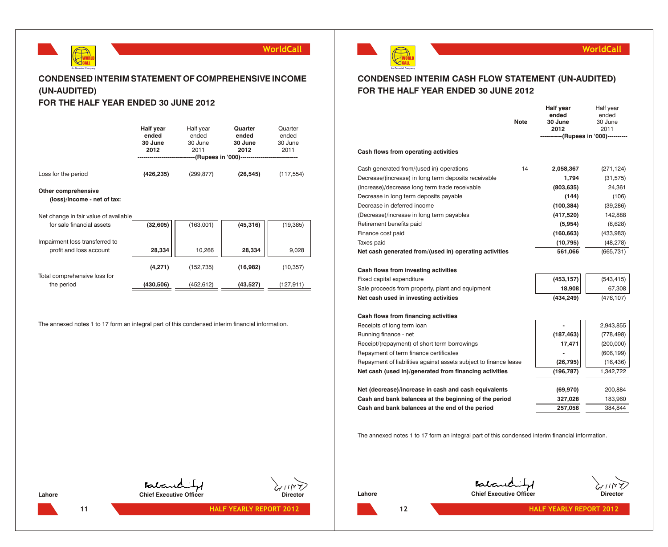

## **CONDENSED INTERIM STATEMENT OF COMPREHENSIVE INCOME (UN-AUDITED)**

## **FOR THE HALF YEAR ENDED 30 JUNE 2012**

|                     | Half year<br>ended<br>30 June<br>2012 | Half year<br>ended<br>30 June<br>2011 | Quarter<br>ended<br>30 June<br>2012<br>--(Rupees in '000)------------ | Quarter<br>ended<br>30 June<br>2011 |
|---------------------|---------------------------------------|---------------------------------------|-----------------------------------------------------------------------|-------------------------------------|
| Loss for the period | (426, 235)                            | (299, 877)                            | (26, 545)                                                             | (117, 554)                          |

### **Other comprehensive**

**(loss)/income - net of tax:**

Net change in fair value of available

| for sale financial assets      | (32,605)  | (163,001)  | (45, 316) | (19, 385) |  |
|--------------------------------|-----------|------------|-----------|-----------|--|
| Impairment loss transferred to |           |            |           |           |  |
| profit and loss account        | 28,334    | 10,266     | 28,334    | 9,028     |  |
| Total comprehensive loss for   | (4,271)   | (152, 735) | (16,982)  | (10, 357) |  |
| the period                     | (430,506) | (452, 612) | (43,527)  | (127,911) |  |

The annexed notes 1 to 17 form an integral part of this condensed interim financial information.



## **WorldCall**

## **CONDENSED INTERIM CASH FLOW STATEMENT (UN-AUDITED) FOR THE HALF YEAR ENDED 30 JUNE 2012**

| ended                                                                         | ended                                 |
|-------------------------------------------------------------------------------|---------------------------------------|
| <b>Note</b><br>30 June                                                        | 30 June                               |
| 2012                                                                          | 2011                                  |
|                                                                               | -----------(Rupees in '000)---------- |
| Cash flows from operating activities                                          |                                       |
| Cash generated from/(used in) operations<br>14<br>2,058,367                   | (271, 124)                            |
| Decrease/(increase) in long term deposits receivable<br>1,794                 | (31, 575)                             |
| (Increase)/decrease long term trade receivable<br>(803, 635)                  | 24,361                                |
| Decrease in long term deposits payable<br>(144)                               | (106)                                 |
| Decrease in deferred income<br>(100, 384)                                     | (39, 286)                             |
| (Decrease)/increase in long term payables<br>(417,520)                        | 142,888                               |
| Retirement benefits paid<br>(5,954)                                           | (8,628)                               |
| Finance cost paid<br>(160, 663)                                               | (433,983)                             |
| Taxes paid<br>(10, 795)                                                       | (48, 278)                             |
| Net cash generated from/(used in) operating activities<br>561,066             | (665, 731)                            |
| Cash flows from investing activities                                          |                                       |
| (453, 157)<br>Fixed capital expenditure                                       | (543, 415)                            |
| 18,908<br>Sale proceeds from property, plant and equipment                    | 67,308                                |
| Net cash used in investing activities<br>(434, 249)                           | (476, 107)                            |
| Cash flows from financing activities                                          |                                       |
| Receipts of long term loan<br>-                                               | 2,943,855                             |
| Running finance - net<br>(187, 463)                                           | (778, 498)                            |
| 17,471<br>Receipt/(repayment) of short term borrowings                        | (200,000)                             |
| Repayment of term finance certificates                                        | (606, 199)                            |
| Repayment of liabilities against assets subject to finance lease<br>(26, 795) | (16, 436)                             |
| Net cash (used in)/generated from financing activities<br>(196, 787)          | 1,342,722                             |
|                                                                               |                                       |
| Net (decrease)/increase in cash and cash equivalents<br>(69, 970)             | 200,884                               |
| Cash and bank balances at the beginning of the period<br>327,028              | 183,960                               |
| Cash and bank balances at the end of the period<br>257,058                    | 384,844                               |

The annexed notes 1 to 17 form an integral part of this condensed interim financial information.

Baland

Lahore **Chief Executive Officer** Chief Executive Officer **Chief Chief Chief Chief Chief Chief** Chief Chief Chief Chief Chief Chief Chief Chief Chief Chief Chief Chief Chief Chief Chief Chief Chief Chief Chief Chief Chief C

Babaric **Lahore Chief Executive Officer Chief Executive Officer Director** 



**12**

**11 HALF YEARLY REPORT 2012 HALF YEARLY REPORT 2012 12 HALF YEARLY REPORT 2012** 

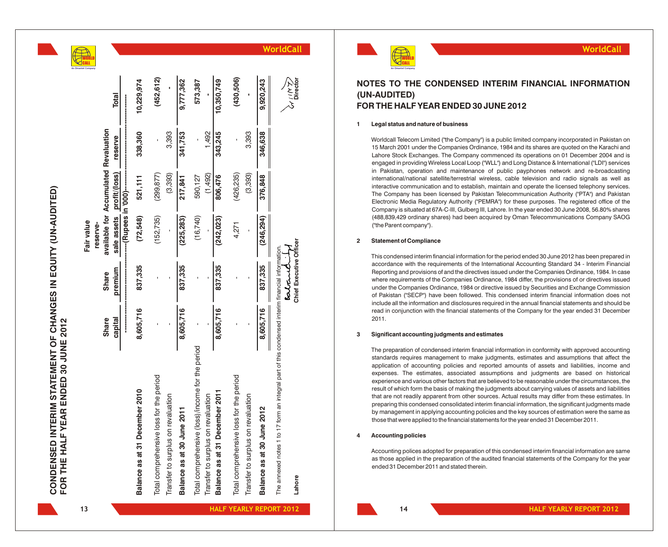|  | An Omantel Compa |
|--|------------------|

|                                                                                                           |              |                                   | Fair value  |                                       |         |                                                  | WORLD<br>CALL<br>el Company |
|-----------------------------------------------------------------------------------------------------------|--------------|-----------------------------------|-------------|---------------------------------------|---------|--------------------------------------------------|-----------------------------|
|                                                                                                           |              |                                   | reserve-    |                                       |         |                                                  |                             |
|                                                                                                           | <b>Share</b> | <b>Share</b>                      |             | available for Accumulated Revaluation |         |                                                  |                             |
|                                                                                                           | capital      | premium                           | sale assets | profit/(loss)                         | reserve | <b>Total</b>                                     |                             |
|                                                                                                           |              |                                   |             |                                       |         |                                                  |                             |
| Balance as at 31 December 2010                                                                            | 8,605,716    | 837,335                           | (72,548)    | 521,111                               | 338,360 | 10,229,974                                       |                             |
| Total comprehensive loss for the period                                                                   |              |                                   | (152, 735)  | (299, 877)                            |         | (452, 612)                                       |                             |
| Transfer to surplus on revaluation                                                                        |              |                                   |             | (3,393)                               | 3,393   |                                                  |                             |
| Balance as at 30 June 2011                                                                                | 8,605,716    | 837,335                           | (225, 283)  | 217,841                               | 341,753 | 9,777,362                                        |                             |
| Total comprehensive (loss)/income for the period                                                          |              |                                   | (16, 740)   | 590,127                               |         | 573,387                                          |                             |
| Transfer to surplus on revaluation                                                                        |              |                                   |             | (1,492)                               | 1,492   |                                                  |                             |
| Balance as at 31 December 2011                                                                            | 8,605,716    | 837,335                           | (242, 023)  | 806,476                               | 343,245 | 10,350,749                                       |                             |
| Total comprehensive loss for the period                                                                   |              |                                   | 4,271       | (426, 235)                            |         | (430, 506)                                       |                             |
| Transfer to surplus on revaluation                                                                        |              |                                   |             | (3,393)                               | 3,393   |                                                  |                             |
| Balance as at 30 June 2012                                                                                | 8,605,716    | 837,335                           | (246, 294)  | 376,848                               | 346,638 | 9,920,243                                        |                             |
| The annexed notes 1 to 17 form an integral part of this condensed interim financial information<br>Lahore |              | Chief Executive Officer<br>estant |             |                                       |         | $\chi^{\prime\,\prime\,\prime}_{\rm 2}$ Director |                             |



## **NOTES TO THE CONDENSED INTERIM FINANCIAL INFORMATION (UN-AUDITED) FOR THE HALF YEAR ENDED 30 JUNE 2012**

**WorldCall**

### **1 Legal status and nature of business**

Worldcall Telecom Limited ("the Company") is a public limited company incorporated in Pakistan on 15 March 2001 under the Companies Ordinance, 1984 and its shares are quoted on the Karachi and Lahore Stock Exchanges. The Company commenced its operations on 01 December 2004 and is engaged in providing Wireless Local Loop ("WLL") and Long Distance & International ("LDI") services in Pakistan, operation and maintenance of public payphones network and re-broadcasting international/national satellite/terrestrial wireless, cable television and radio signals as well as interactive communication and to establish, maintain and operate the licensed telephony services. The Company has been licensed by Pakistan Telecommunication Authority ("PTA") and Pakistan Electronic Media Regulatory Authority ("PEMRA") for these purposes. The registered office of the Company is situated at 67A-C-III, Gulberg III, Lahore. In the year ended 30 June 2008, 56.80% shares (488,839,429 ordinary shares) had been acquired by Oman Telecommunications Company SAOG ("the Parent company").

### **2 Statement of Compliance**

This condensed interim financial information for the period ended 30 June 2012 has been prepared in accordance with the requirements of the International Accounting Standard 34 - Interim Financial Reporting and provisions of and the directives issued under the Companies Ordinance, 1984. In case where requirements of the Companies Ordinance, 1984 differ, the provisions of or directives issued under the Companies Ordinance, 1984 or directive issued by Securities and Exchange Commission of Pakistan ("SECP") have been followed. This condensed interim financial information does not include all the information and disclosures required in the annual financial statements and should be read in conjunction with the financial statements of the Company for the year ended 31 December 2011.

### **3 Significant accounting judgments and estimates**

The preparation of condensed interim financial information in conformity with approved accounting standards requires management to make judgments, estimates and assumptions that affect the application of accounting policies and reported amounts of assets and liabilities, income and expenses. The estimates, associated assumptions and judgments are based on historical experience and various other factors that are believed to be reasonable under the circumstances, the result of which form the basis of making the judgments about carrying values of assets and liabilities that are not readily apparent from other sources. Actual results may differ from these estimates. In preparing this condensed consolidated interim financial information, the significant judgments made by management in applying accounting policies and the key sources of estimation were the same as those that were applied to the financial statements for the year ended 31 December 2011.

### **4 Accounting policies**

Accounting polices adopted for preparation of this condensed interim financial information are same as those applied in the preparation of the audited financial statements of the Company for the year ended 31 December 2011 and stated therein.

**CONDENSED INTERIM STATEMENT OF CHANGES IN EQUITY (UN-AUDITED)**

CONDENSED INTERIM STATEMENT OF CHANGES IN EQUITY (UN-AUDITED)

**FOR THE HALF YEAR ENDED 30 JUNE 2012**

FOR THE HALF YEAR ENDED 30 JUNE 2012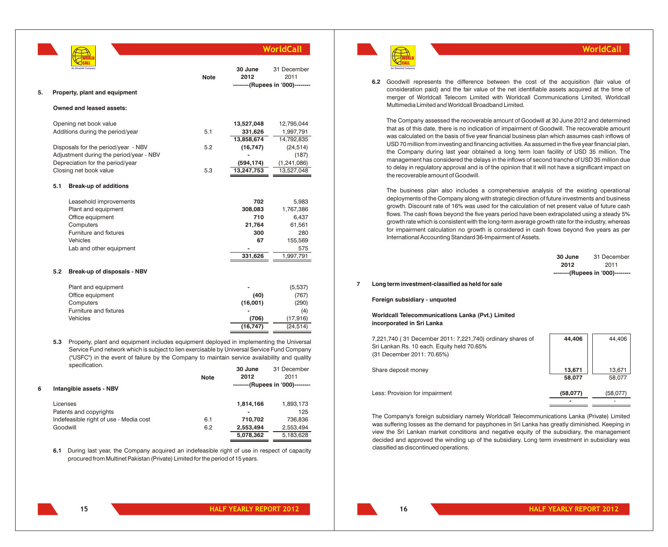|    |     |                                                                                                                                                                                                                                                                                          |             |                 | WorldCall                        |
|----|-----|------------------------------------------------------------------------------------------------------------------------------------------------------------------------------------------------------------------------------------------------------------------------------------------|-------------|-----------------|----------------------------------|
|    |     |                                                                                                                                                                                                                                                                                          | <b>Note</b> | 30 June<br>2012 | 31 December<br>2011              |
|    |     |                                                                                                                                                                                                                                                                                          |             |                 | --------(Rupees in '000)-------- |
| 5. |     | Property, plant and equipment                                                                                                                                                                                                                                                            |             |                 |                                  |
|    |     | Owned and leased assets:                                                                                                                                                                                                                                                                 |             |                 |                                  |
|    |     | Opening net book value                                                                                                                                                                                                                                                                   |             | 13,527,048      | 12,795,044                       |
|    |     | Additions during the period/year                                                                                                                                                                                                                                                         | 5.1         | 331,626         | 1,997,791                        |
|    |     |                                                                                                                                                                                                                                                                                          |             | 13,858,674      | 14,792,835                       |
|    |     | Disposals for the period/year - NBV                                                                                                                                                                                                                                                      | 5.2         | (16, 747)       | (24,514)                         |
|    |     | Adjustment during the period/year - NBV                                                                                                                                                                                                                                                  |             |                 | (187)                            |
|    |     | Depreciation for the period/year                                                                                                                                                                                                                                                         |             | (594, 174)      | (1, 241, 086)                    |
|    |     | Closing net book value                                                                                                                                                                                                                                                                   | 5.3         | 13,247,753      | 13,527,048                       |
|    | 5.1 | <b>Break-up of additions</b>                                                                                                                                                                                                                                                             |             |                 |                                  |
|    |     | Leasehold improvements                                                                                                                                                                                                                                                                   |             | 702             | 5,983                            |
|    |     | Plant and equipment                                                                                                                                                                                                                                                                      |             | 308,083         | 1,767,386                        |
|    |     | Office equipment                                                                                                                                                                                                                                                                         |             | 710             | 6,437                            |
|    |     | Computers                                                                                                                                                                                                                                                                                |             | 21,764          | 61,561                           |
|    |     | Furniture and fixtures                                                                                                                                                                                                                                                                   |             | 300             | 280                              |
|    |     | <b>Vehicles</b>                                                                                                                                                                                                                                                                          |             | 67              | 155,569                          |
|    |     | Lab and other equipment                                                                                                                                                                                                                                                                  |             |                 | 575                              |
|    |     |                                                                                                                                                                                                                                                                                          |             | 331,626         | 1,997,791                        |
|    | 5.2 | Break-up of disposals - NBV                                                                                                                                                                                                                                                              |             |                 |                                  |
|    |     | Plant and equipment                                                                                                                                                                                                                                                                      |             |                 | (5,537)                          |
|    |     | Office equipment                                                                                                                                                                                                                                                                         |             | (40)            | (767)                            |
|    |     | Computers                                                                                                                                                                                                                                                                                |             | (16,001)        | (290)                            |
|    |     | Furniture and fixtures                                                                                                                                                                                                                                                                   |             |                 | (4)                              |
|    |     | <b>Vehicles</b>                                                                                                                                                                                                                                                                          |             | (706)           | (17, 916)                        |
|    |     |                                                                                                                                                                                                                                                                                          |             | (16, 747)       | (24, 514)                        |
|    | 5.3 | Property, plant and equipment includes equipment deployed in implementing the Universal<br>Service Fund network which is subject to lien exercisable by Universal Service Fund Company<br>(ILICEOI) in the curry of follows but the Company to mointain convice qualippility and quality |             |                 |                                  |

("USFC") in the event of failure by the Company to maintain service availability and quality specification. **30 June** 31 December

| 6 | Intangible assets - NBV                | <b>Note</b> | 2012<br>--------(Rupees in '000)-------- | 2011             |
|---|----------------------------------------|-------------|------------------------------------------|------------------|
|   | Licenses<br>Patents and copyrights     |             | 1,814,166                                | 1,893,173<br>125 |
|   | Indefeasible right of use - Media cost | 6.1         | 710.702                                  | 736.836          |
|   | Goodwill                               | 6.2         | 2,553,494                                | 2.553.494        |
|   |                                        |             | 5,078,362                                | 5,183,628        |

**6.1** During last year, the Company acquired an indefeasible right of use in respect of capacity procured from Multinet Pakistan (Private) Limited for the period of 15 years.



### 6.2 Goodwill represents the difference between the cost of the acquisition (fair value of consideration paid) and the fair value of the net identifiable assets acquired at the time of merger of Worldcall Telecom Limited with Worldcall Communications Limited, Worldcall Multimedia Limited and Worldcall Broadband Limited.

The Company assessed the recoverable amount of Goodwill at 30 June 2012 and determined that as of this date, there is no indication of impairment of Goodwill. The recoverable amount was calculated on the basis of five year financial business plan which assumes cash inflows of USD 70 million from investing and financing activities. As assumed in the five year financial plan, the Company during last year obtained a long term loan facility of USD 35 million. The management has considered the delays in the inflows of second tranche of USD 35 million due to delay in regulatory approval and is of the opinion that it will not have a significant impact on the recoverable amount of Goodwill.

The business plan also includes a comprehensive analysis of the existing operational deployments of the Company along with strategic direction of future investments and business growth. Discount rate of 16% was used for the calculation of net present value of future cash flows. The cash flows beyond the five years period have been extrapolated using a steady 5% growth rate which is consistent with the long-term average growth rate for the industry, whereas for impairment calculation no growth is considered in cash flows beyond five years as per International Accounting Standard 36-Impairment of Assets.

| 30 June | 31 December                      |
|---------|----------------------------------|
| 2012    | 2011                             |
|         | --------(Rupees in '000)-------- |

**WorldCall**

**7 Long term investment-classified as held for sale**

### **Foreign subsidiary - unquoted**

### **Worldcall Telecommunications Lanka (Pvt.) Limited incorporated in Sri Lanka**

| 7,221,740 (31 December 2011: 7,221,740) ordinary shares of | 44.406           | 44.406           |
|------------------------------------------------------------|------------------|------------------|
| Sri Lankan Rs. 10 each. Equity held 70.65%                 |                  |                  |
| (31 December 2011: 70.65%)                                 |                  |                  |
| Share deposit money                                        | 13.671<br>58,077 | 13.671<br>58.077 |
| Less: Provision for impairment                             | (58,077)         | (58,077)         |

The Company's foreign subsidiary namely Worldcall Telecommunications Lanka (Private) Limited was suffering losses as the demand for payphones in Sri Lanka has greatly diminished. Keeping in view the Sri Lankan market conditions and negative equity of the subsidiary, the management decided and approved the winding up of the subsidiary. Long term investment in subsidiary was classified as discontinued operations.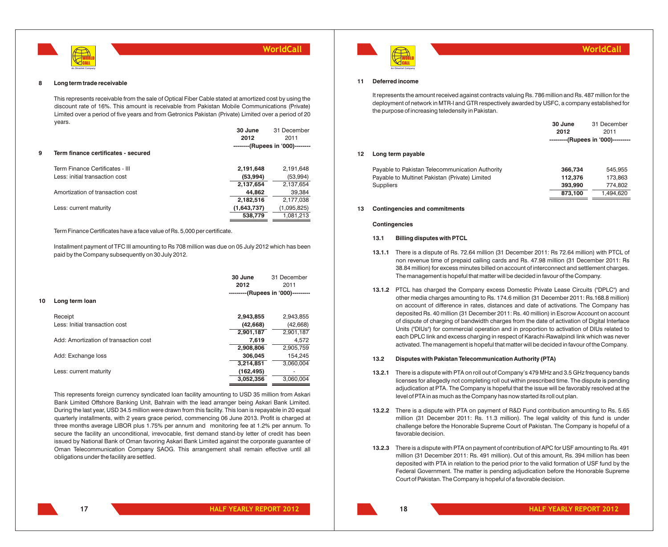

#### **8 Long term trade receivable**

This represents receivable from the sale of Optical Fiber Cable stated at amortized cost by using the discount rate of 16%. This amount is receivable from Pakistan Mobile Communications (Private) Limited over a period of five years and from Getronics Pakistan (Private) Limited over a period of 20 years.

|   |                                     | 30 June     | 31 December                      |
|---|-------------------------------------|-------------|----------------------------------|
|   |                                     | 2012        | 2011                             |
|   |                                     |             | --------(Rupees in '000)-------- |
| 9 | Term finance certificates - secured |             |                                  |
|   |                                     |             |                                  |
|   | Term Finance Certificates - III     | 2,191,648   | 2,191,648                        |
|   | Less: initial transaction cost      | (53,994)    | (53,994)                         |
|   |                                     | 2,137,654   | 2,137,654                        |
|   | Amortization of transaction cost    | 44,862      | 39,384                           |
|   |                                     | 2,182,516   | 2,177,038                        |
|   | Less: current maturity              | (1,643,737) | (1,095,825)                      |
|   |                                     | 538,779     | 1,081,213                        |
|   |                                     |             |                                  |

### Term Finance Certificates have a face value of Rs. 5,000 per certificate.

Installment payment of TFC III amounting to Rs 708 million was due on 05 July 2012 which has been paid by the Company subsequently on 30 July 2012.

|    |                                       | 30 June<br>2012 | 31 December<br>2011                |
|----|---------------------------------------|-----------------|------------------------------------|
| 10 | Long term loan                        |                 | ---------(Rupees in '000)--------- |
|    |                                       |                 |                                    |
|    | Receipt                               | 2,943,855       | 2,943,855                          |
|    | Less: Initial transaction cost        | (42,668)        | (42, 668)                          |
|    |                                       | 2,901,187       | 2,901,187                          |
|    | Add: Amortization of transaction cost | 7,619           | 4,572                              |
|    |                                       | 2,908,806       | 2,905,759                          |
|    | Add: Exchange loss                    | 306.045         | 154,245                            |
|    |                                       | 3,214,851       | 3,060,004                          |
|    | Less: current maturity                | (162, 495)      | $\overline{\phantom{a}}$           |
|    |                                       | 3,052,356       | 3,060,004                          |

This represents foreign currency syndicated loan facility amounting to USD 35 million from Askari Bank Limited Offshore Banking Unit, Bahrain with the lead arranger being Askari Bank Limited. During the last year, USD 34.5 million were drawn from this facility. This loan is repayable in 20 equal quarterly installments, with 2 years grace period, commencing 06 June 2013. Profit is charged at three months average LIBOR plus 1.75% per annum and monitoring fee at 1.2% per annum. To secure the facility an unconditional, irrevocable, first demand stand-by letter of credit has been issued by National Bank of Oman favoring Askari Bank Limited against the corporate guarantee of Oman Telecommunication Company SAOG. This arrangement shall remain effective until all obligations under the facility are settled.



## **WorldCall**

### **11 Deferred income**

It represents the amount received against contracts valuing Rs. 786 million and Rs. 487 million for the deployment of network in MTR-I and GTR respectively awarded by USFC, a company established for the purpose of increasing teledensity in Pakistan.

|    |                                                 | 30 June | 31 December                        |
|----|-------------------------------------------------|---------|------------------------------------|
|    |                                                 | 2012    | 2011                               |
|    |                                                 |         | ---------(Rupees in '000)--------- |
| 12 | Long term payable                               |         |                                    |
|    | Payable to Pakistan Telecommunication Authority | 366,734 | 545.955                            |
|    | Payable to Multinet Pakistan (Private) Limited  | 112.376 | 173.863                            |
|    | <b>Suppliers</b>                                | 393.990 | 774.802                            |
|    |                                                 | 873.100 | 1.494.620                          |

### **13 Contingencies and commitments**

### **Contingencies**

### **13.1 Billing disputes with PTCL**

- **13.1.1** There is a dispute of Rs. 72.64 million (31 December 2011: Rs 72.64 million) with PTCL of non revenue time of prepaid calling cards and Rs. 47.98 million (31 December 2011: Rs 38.84 million) for excess minutes billed on account of interconnect and settlement charges. The management is hopeful that matter will be decided in favour of the Company.
- **13.1.2** PTCL has charged the Company excess Domestic Private Lease Circuits ("DPLC") and other media charges amounting to Rs. 174.6 million (31 December 2011: Rs.168.8 million) on account of difference in rates, distances and date of activations. The Company has deposited Rs. 40 million (31 December 2011: Rs. 40 million) in Escrow Account on account of dispute of charging of bandwidth charges from the date of activation of Digital Interface Units ("DIUs") for commercial operation and in proportion to activation of DIUs related to each DPLC link and excess charging in respect of Karachi-Rawalpindi link which was never activated. The management is hopeful that matter will be decided in favour of the Company.

### **13.2 Disputes with Pakistan Telecommunication Authority (PTA)**

- **13.2.1** There is a dispute with PTA on roll out of Company's 479 MHz and 3.5 GHz frequency bands licenses for allegedly not completing roll out within prescribed time. The dispute is pending adjudication at PTA. The Company is hopeful that the issue will be favorably resolved at the level of PTA in as much as the Company has now started its roll out plan.
- **13.2.2** There is a dispute with PTA on payment of R&D Fund contribution amounting to Rs. 5.65 million (31 December 2011: Rs. 11.3 million). The legal validity of this fund is under challenge before the Honorable Supreme Court of Pakistan. The Company is hopeful of a favorable decision.
- **13.2.3** There is a dispute with PTA on payment of contribution of APC for USF amounting to Rs. 491 million (31 December 2011: Rs. 491 million). Out of this amount, Rs. 394 million has been deposited with PTA in relation to the period prior to the valid formation of USF fund by the Federal Government. The matter is pending adjudication before the Honorable Supreme Court of Pakistan. The Company is hopeful of a favorable decision.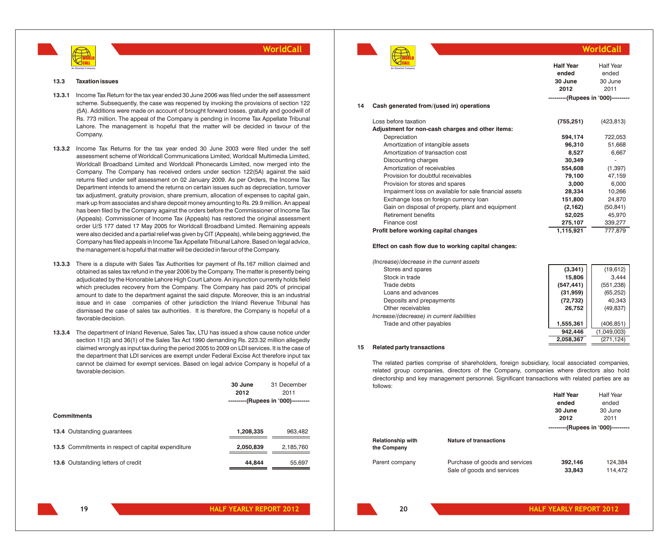

### **13.3 Taxation issues**

- **13.3.1** Income Tax Return for the tax year ended 30 June 2006 was filed under the self assessment scheme. Subsequently, the case was reopened by invoking the provisions of section 122 (5A). Additions were made on account of brought forward losses, gratuity and goodwill of Rs. 773 million. The appeal of the Company is pending in Income Tax Appellate Tribunal Lahore. The management is hopeful that the matter will be decided in favour of the Company.
- **13.3.2** Income Tax Returns for the tax year ended 30 June 2003 were filed under the self assessment scheme of Worldcall Communications Limited, Worldcall Multimedia Limited, Worldcall Broadband Limited and Worldcall Phonecards Limited, now merged into the Company. The Company has received orders under section 122(5A) against the said returns filed under self assessment on 02 January 2009. As per Orders, the Income Tax Department intends to amend the returns on certain issues such as depreciation, turnover tax adjustment, gratuity provision, share premium, allocation of expenses to capital gain, mark up from associates and share deposit money amounting to Rs. 29.9 million. An appeal has been filed by the Company against the orders before the Commissioner of Income Tax (Appeals). Commissioner of Income Tax (Appeals) has restored the original assessment order U/S 177 dated 17 May 2005 for Worldcall Broadband Limited. Remaining appeals were also decided and a partial relief was given by CIT (Appeals), while being aggrieved, the Company has filed appeals in Income Tax Appellate Tribunal Lahore. Based on legal advice, the management is hopeful that matter will be decided in favour of the Company.
- **13.3.3** There is a dispute with Sales Tax Authorities for payment of Rs.167 million claimed and obtained as sales tax refund in the year 2006 by the Company. The matter is presently being adjudicated by the Honorable Lahore High Court Lahore. An injunction currently holds field which precludes recovery from the Company. The Company has paid 20% of principal amount to date to the department against the said dispute. Moreover, this is an industrial issue and in case companies of other jurisdiction the Inland Revenue Tribunal has dismissed the case of sales tax authorities. It is therefore, the Company is hopeful of a favorable decision.
- **13.3.4** The department of Inland Revenue, Sales Tax, LTU has issued a show cause notice under section 11(2) and 36(1) of the Sales Tax Act 1990 demanding Rs. 223.32 million allegedly claimed wrongly as input tax during the period 2005 to 2009 on LDI services. It is the case of the department that LDI services are exempt under Federal Excise Act therefore input tax cannot be claimed for exempt services. Based on legal advice Company is hopeful of a favorable decision.

|                                                    | 30 June                            | 31 December |
|----------------------------------------------------|------------------------------------|-------------|
|                                                    | 2012                               | 2011        |
|                                                    | ---------(Rupees in '000)--------- |             |
|                                                    |                                    |             |
| <b>Commitments</b>                                 |                                    |             |
|                                                    |                                    |             |
| <b>13.4 Outstanding quarantees</b>                 | 1,208,335                          | 963,482     |
| 13.5 Commitments in respect of capital expenditure | 2,050,839                          | 2,185,760   |
|                                                    |                                    |             |
| 13.6 Outstanding letters of credit                 | 44.844                             | 55,697      |
|                                                    |                                    |             |



|    | An Omantel Company                                     | <b>Half Year</b><br>ended<br>30 June<br>2012 | <b>Half Year</b><br>ended<br>30 June<br>2011 |
|----|--------------------------------------------------------|----------------------------------------------|----------------------------------------------|
|    |                                                        | ---------(Rupees in '000)---------           |                                              |
| 14 | Cash generated from/(used in) operations               |                                              |                                              |
|    | Loss before taxation                                   | (755, 251)                                   | (423, 813)                                   |
|    | Adjustment for non-cash charges and other items:       |                                              |                                              |
|    | Depreciation                                           | 594,174                                      | 722,053                                      |
|    | Amortization of intangible assets                      | 96,310                                       | 51,668                                       |
|    | Amortization of transaction cost                       | 8,527                                        | 6,667                                        |
|    | Discounting charges                                    | 30,349                                       |                                              |
|    | Amortization of receivables                            | 554,608                                      | (1, 397)                                     |
|    | Provision for doubtful receivables                     | 79.100                                       | 47,159                                       |
|    | Provision for stores and spares                        | 3,000                                        | 6,000                                        |
|    | Impairment loss on available for sale financial assets | 28,334                                       | 10.266                                       |

**WorldCall**

Impairment loss on available for sale financial assets **28,334** 10,266 Exchange loss on foreign currency loan **151,800** 24,870 Gain on disposal of property, plant and equipment **(2,162)** (50,841) Retirement benefits **52,025** 45,970 Finance cost **275,107** 339,277 **Profit before working capital changes 1,115,921** 777,879

### **Effect on cash flow due to working capital changes:**

| (Increase)/decrease in the current assets  |            |             |
|--------------------------------------------|------------|-------------|
| Stores and spares                          | (3, 341)   | (19,612)    |
| Stock in trade                             | 15,806     | 3.444       |
| Trade debts                                | (547, 441) | (551, 238)  |
| Loans and advances                         | (31, 959)  | (65, 252)   |
| Deposits and prepayments                   | (72, 732)  | 40,343      |
| Other receivables                          | 26.752     | (49, 837)   |
| Increase/(decrease) in current liabilities |            |             |
| Trade and other payables                   | 1,555,361  | (406, 851)  |
|                                            | 942,446    | (1,049,003) |
|                                            | 2,058,367  | (271, 124)  |

### **15 Related party transactions**

The related parties comprise of shareholders, foreign subsidiary, local associated companies, related group companies, directors of the Company, companies where directors also hold directorship and key management personnel. Significant transactions with related parties are as follows:

|                                         |                                | <b>Haif Year</b>                   | Half Year |
|-----------------------------------------|--------------------------------|------------------------------------|-----------|
|                                         |                                | ended                              | ended     |
|                                         |                                | 30 June                            | 30 June   |
|                                         |                                | 2012                               | 2011      |
|                                         |                                | ---------(Rupees in '000)--------- |           |
| <b>Relationship with</b><br>the Company | <b>Nature of transactions</b>  |                                    |           |
| Parent company                          | Purchase of goods and services | 392,146                            | 124.384   |
|                                         | Sale of goods and services     | 33,843                             | 114.472   |

**19**

**20**

**Half Year**

Half Year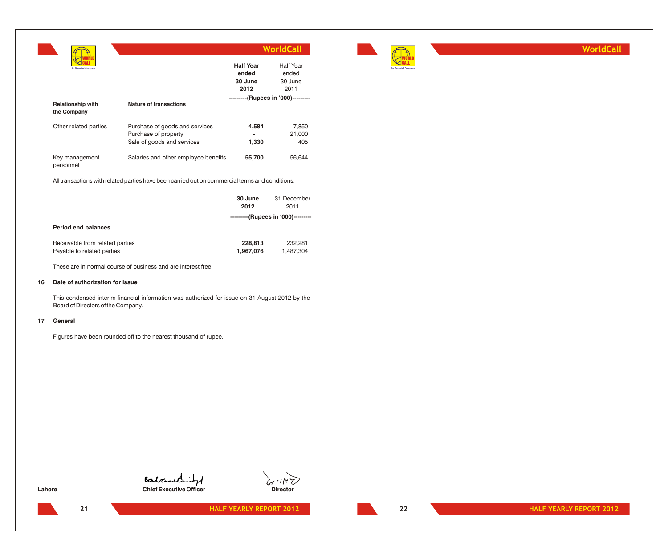|                                                    | WorldCall |                                              |                                              |
|----------------------------------------------------|-----------|----------------------------------------------|----------------------------------------------|
| An Omantel Company                                 |           | <b>Half Year</b><br>ended<br>30 June<br>2012 | <b>Half Year</b><br>ended<br>30 June<br>2011 |
| <b>Relationship with</b><br>Nature of transactions |           |                                              | ---------(Rupees in '000)---------           |

| the Company                 |                                      |                |        |
|-----------------------------|--------------------------------------|----------------|--------|
| Other related parties       | Purchase of goods and services       | 4.584          | 7.850  |
|                             | Purchase of property                 | $\blacksquare$ | 21,000 |
|                             | Sale of goods and services           | 1.330          | 405    |
| Key management<br>personnel | Salaries and other employee benefits | 55.700         | 56.644 |

All transactions with related parties have been carried out on commercial terms and conditions.

|                                                               | 30 June<br>2012                    | 31 December<br>2011  |
|---------------------------------------------------------------|------------------------------------|----------------------|
|                                                               | ---------(Rupees in '000)--------- |                      |
| <b>Period end balances</b>                                    |                                    |                      |
| Receivable from related parties<br>Payable to related parties | 228,813<br>1,967,076               | 232.281<br>1,487,304 |

These are in normal course of business and are interest free.

## **16 Date of authorization for issue**

This condensed interim financial information was authorized for issue on 31 August 2012 by the Board of Directors of the Company.

### **17 General**

Figures have been rounded off to the nearest thousand of rupee.



**Chief Executive Officer** Chief Executive Officer Director



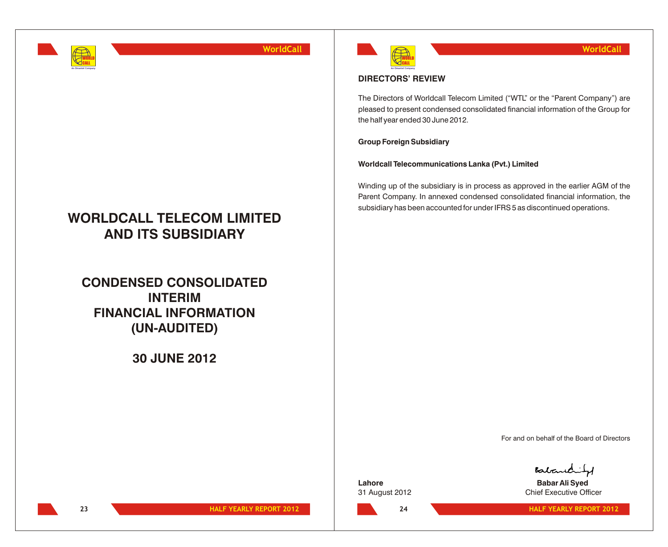

# **WORLDCALL TELECOM LIMITED AND ITS SUBSIDIARY**

# **CONDENSED CONSOLIDATED INTERIM FINANCIAL INFORMATION (UN-AUDITED)**

## **30 JUNE 2012**



## **DIRECTORS' REVIEW**

The Directors of Worldcall Telecom Limited ("WTL" or the "Parent Company") are pleased to present condensed consolidated financial information of the Group for the half year ended 30 June 2012.

## **Group Foreign Subsidiary**

**Worldcall Telecommunications Lanka (Pvt.) Limited** 

Winding up of the subsidiary is in process as approved in the earlier AGM of the Parent Company. In annexed condensed consolidated financial information, the subsidiary has been accounted for under IFRS 5 as discontinued operations.

For and on behalf of the Board of Directors

**Lahore Babar Ali Syed**

Babanchit

31 August 2012 Chief Executive Officer

**24**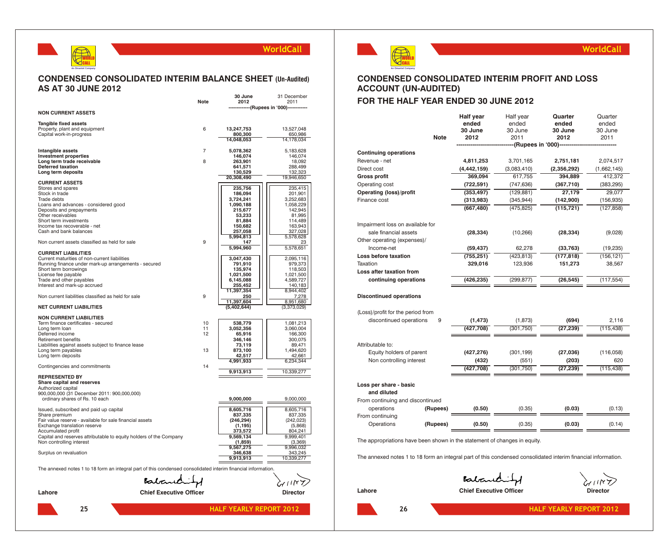## WORLD CALL **An Omantel Company**

## **WorldCall**

## **CONDENSED CONSOLIDATED INTERIM BALANCE SHEET (Un-Audited) AS AT 30 JUNE 2012**

|                                                                                                               | <b>Note</b>                    | 30 June<br>2012           | 31 December<br>2011      |
|---------------------------------------------------------------------------------------------------------------|--------------------------------|---------------------------|--------------------------|
|                                                                                                               |                                |                           | --(Rupees in '000)---    |
| <b>NON CURRENT ASSETS</b>                                                                                     |                                |                           |                          |
| <b>Tangible fixed assets</b>                                                                                  |                                |                           |                          |
| Property, plant and equipment                                                                                 | 6                              | 13,247,753                | 13,527,048               |
| Capital work-in-progress                                                                                      |                                | 800,300                   | 650,986<br>14,178,034    |
|                                                                                                               |                                | 14,048,053                |                          |
| Intangible assets                                                                                             | 7                              | 5,078,362                 | 5,183,628                |
| <b>Investment properties</b>                                                                                  |                                | 146,074                   | 146,074                  |
| Long term trade receivable                                                                                    | 8                              | 263,901                   | 18,092                   |
| <b>Deferred taxation</b>                                                                                      |                                | 641,571                   | 288,499                  |
| Long term deposits                                                                                            |                                | 130,529                   | 132,323                  |
| <b>CURRENT ASSETS</b>                                                                                         |                                | 20,308,490                | 19,946,650               |
| Stores and spares                                                                                             |                                | 235,756                   | 235,415                  |
| Stock in trade                                                                                                |                                | 186,094                   | 201,901                  |
| Trade debts                                                                                                   |                                | 3,724,241                 | 3,252,683                |
| Loans and advances - considered good                                                                          |                                | 1,090,188                 | 1,058,229                |
| Deposits and prepayments                                                                                      |                                | 215,677                   | 142,945                  |
| Other receivables                                                                                             |                                | 53,233                    | 81,995                   |
| Short term investments                                                                                        |                                | 81,884                    | 114,489                  |
| Income tax recoverable - net                                                                                  |                                | 150,682                   | 163,943                  |
| Cash and bank balances                                                                                        |                                | 257,058<br>5,994,813      | 327,028<br>5,578,628     |
| Non current assets classified as held for sale                                                                | 9                              | 147                       | 23                       |
|                                                                                                               |                                | 5,994,960                 | 5,578,651                |
| <b>CURRENT LIABILITIES</b>                                                                                    |                                |                           |                          |
| Current maturities of non-current liabilities<br>Running finance under mark-up arrangements - secured         |                                | 3,047,430                 | 2,095,116                |
| Short term borrowings                                                                                         |                                | 791,910<br>135,974        | 979,373<br>118,503       |
| License fee payable                                                                                           |                                | 1,021,500                 | 1,021,500                |
| Trade and other payables                                                                                      |                                | 6,145,088                 | 4,589,727                |
| Interest and mark-up accrued                                                                                  |                                | 255,452                   | 140,183                  |
|                                                                                                               |                                | 11,397,354                | 8,944,402                |
| Non current liabilities classified as held for sale                                                           | 9                              | 250                       | 7,278                    |
| <b>NET CURRENT LIABILITIES</b>                                                                                |                                | 11,397,604<br>(5,402,644) | 8,951,680<br>(3,373,029) |
|                                                                                                               |                                |                           |                          |
| <b>NON CURRENT LIABILITIES</b>                                                                                |                                |                           |                          |
| Term finance certificates - secured                                                                           | 10                             | 538,779                   | 1,081,213                |
| Long term loan                                                                                                | 11<br>12                       | 3,052,356                 | 3,060,004                |
| Deferred income<br><b>Retirement benefits</b>                                                                 |                                | 65,916<br>346,146         | 166,300<br>300,075       |
| Liabilities against assets subject to finance lease                                                           |                                | 73,119                    | 89,471                   |
| Long term payables                                                                                            | 13                             | 873,100                   | 1,494,620                |
| Long term deposits                                                                                            |                                | 42.517                    | 42.661                   |
|                                                                                                               |                                | 4,991,933                 | 6,234,344                |
| Contingencies and commitments                                                                                 | 14                             |                           |                          |
|                                                                                                               |                                | 9,913,913                 | 10,339,277               |
| <b>REPRESENTED BY</b><br>Share capital and reserves                                                           |                                |                           |                          |
| Authorized capital                                                                                            |                                |                           |                          |
| 900,000,000 (31 December 2011: 900,000,000)                                                                   |                                |                           |                          |
| ordinary shares of Rs. 10 each                                                                                |                                | 9,000,000                 | 9,000,000                |
| Issued, subscribed and paid up capital                                                                        |                                | 8,605,716                 | 8,605,716                |
| Share premium                                                                                                 |                                | 837,335                   | 837,335                  |
| Fair value reserve - available for sale financial assets                                                      |                                | (246, 294)                | (242, 023)               |
| Exchange translation reserve                                                                                  |                                | (1, 195)                  | (5,868)                  |
| Accumulated profit                                                                                            |                                | 373,572                   | 804,241                  |
| Capital and reserves attributable to equity holders of the Company                                            |                                | 9,569,134                 | 9,999,401                |
| Non controlling interest                                                                                      |                                | (1,859)                   | (3,369)                  |
|                                                                                                               |                                | 9,567,275                 | 9,996,032<br>343,245     |
| Surplus on revaluation                                                                                        |                                | 346,638<br>9,913,913      | 10,339,277               |
| The annexed notes 1 to 18 form an integral part of this condensed consolidated interim financial information. |                                |                           |                          |
|                                                                                                               |                                |                           |                          |
|                                                                                                               | Babard                         |                           |                          |
| Lahore                                                                                                        | <b>Chief Executive Officer</b> |                           | Director                 |
|                                                                                                               |                                |                           |                          |



## **CONDENSED CONSOLIDATED INTERIM PROFIT AND LOSS ACCOUNT (UN-AUDITED)**

## **FOR THE HALF YEAR ENDED 30 JUNE 2012**

|                                                                           |             | <b>Half year</b><br>ended | Half year<br>ended  | Quarter<br>ended | Quarter<br>ended |
|---------------------------------------------------------------------------|-------------|---------------------------|---------------------|------------------|------------------|
|                                                                           |             | 30 June                   | 30 June             | 30 June          | 30 June          |
|                                                                           | <b>Note</b> | 2012                      | 2011                | 2012             | 2011             |
|                                                                           |             |                           | --(Rupees in '000)- |                  |                  |
| <b>Continuing operations</b>                                              |             |                           |                     |                  |                  |
| Revenue - net                                                             |             | 4,811,253                 | 3,701,165           | 2,751,181        | 2,074,517        |
| Direct cost                                                               |             | (4, 442, 159)             | (3,083,410)         | (2,356,292)      | (1,662,145)      |
| <b>Gross profit</b>                                                       |             | 369,094                   | 617,755             | 394,889          | 412,372          |
| Operating cost                                                            |             | (722, 591)                | (747, 636)          | (367,710)        | (383, 295)       |
| Operating (loss)/profit                                                   |             | (353, 497)                | (129, 881)          | 27,179           | 29,077           |
| Finance cost                                                              |             | (313,983)                 | (345, 944)          | (142,900)        | (156, 935)       |
|                                                                           |             | (667, 480)                | (475, 825)          | (115, 721)       | (127, 858)       |
| Impairment loss on available for                                          |             |                           |                     |                  |                  |
| sale financial assets                                                     |             | (28, 334)                 | (10, 266)           | (28, 334)        | (9,028)          |
| Other operating (expenses)/                                               |             |                           |                     |                  |                  |
| Income-net                                                                |             | (59, 437)                 | 62,278              | (33, 763)        | (19, 235)        |
| Loss before taxation                                                      |             | (755, 251)                | (423, 813)          | (177, 818)       | (156, 121)       |
| Taxation                                                                  |             | 329,016                   | 123,936             | 151,273          | 38,567           |
| Loss after taxation from                                                  |             |                           |                     |                  |                  |
| continuing operations                                                     |             | (426, 235)                | (299, 877)          | (26, 545)        | (117, 554)       |
| <b>Discontinued operations</b>                                            |             |                           |                     |                  |                  |
| (Loss)/profit for the period from                                         |             |                           |                     |                  |                  |
| discontinued operations                                                   | 9           | (1, 473)                  | (1, 873)            | (694)            | 2,116            |
|                                                                           |             | (427, 708)                | (301, 750)          | (27, 239)        | (115, 438)       |
| Attributable to:                                                          |             |                           |                     |                  |                  |
| Equity holders of parent                                                  |             | (427, 276)                | (301, 199)          | (27, 036)        | (116, 058)       |
| Non controlling interest                                                  |             | (432)                     | (551)               | (203)            | 620              |
|                                                                           |             | (427, 708)                | (301, 750)          | (27, 239)        | (115, 438)       |
| Loss per share - basic<br>and diluted<br>From continuing and discontinued |             |                           |                     |                  |                  |
| operations                                                                | (Rupees)    | (0.50)                    | (0.35)              | (0.03)           | (0.13)           |
| From continuing<br>Operations                                             | (Rupees)    | (0.50)                    | (0.35)              | (0.03)           | (0.14)           |
|                                                                           |             |                           |                     |                  |                  |

The appropriations have been shown in the statement of changes in equity.

The annexed notes 1 to 18 form an integral part of this condensed consolidated interim financial information.

Babandity

**WorldCall**

**Lahore Chief Executive Officer Director**

**26**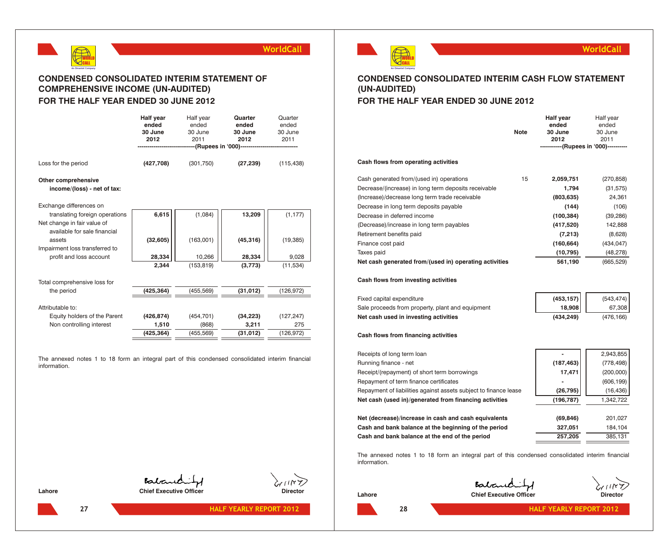

## **CONDENSED CONSOLIDATED INTERIM STATEMENT OF COMPREHENSIVE INCOME (UN-AUDITED) FOR THE HALF YEAR ENDED 30 JUNE 2012**

|                                                                                          | <b>Half year</b><br>ended<br>30 June<br>2012 | Half year<br>ended<br>30 June<br>2011 | Quarter<br>ended<br>30 June<br>2012<br>-----(Rupees in '000)---------------------- | Quarter<br>ended<br>30 June<br>2011 |
|------------------------------------------------------------------------------------------|----------------------------------------------|---------------------------------------|------------------------------------------------------------------------------------|-------------------------------------|
| Loss for the period                                                                      | (427,708)                                    | (301, 750)                            | (27, 239)                                                                          | (115, 438)                          |
| Other comprehensive<br>income/(loss) - net of tax:                                       |                                              |                                       |                                                                                    |                                     |
| Exchange differences on<br>translating foreign operations<br>Net change in fair value of | 6,615                                        | (1,084)                               | 13,209                                                                             | (1, 177)                            |
| available for sale financial<br>assets<br>Impairment loss transferred to                 | (32, 605)                                    | (163,001)                             | (45, 316)                                                                          | (19, 385)                           |
| profit and loss account                                                                  | 28.334                                       | 10,266                                | 28,334                                                                             | 9,028                               |
|                                                                                          | 2.344                                        | (153, 819)                            | (3,773)                                                                            | (11, 534)                           |
| Total comprehensive loss for                                                             |                                              |                                       |                                                                                    |                                     |
| the period                                                                               | (425,364)                                    | (455, 569)                            | (31, 012)                                                                          | (126, 972)                          |
| Attributable to:                                                                         |                                              |                                       |                                                                                    |                                     |
| Equity holders of the Parent                                                             | (426, 874)                                   | (454, 701)                            | (34, 223)                                                                          | (127, 247)                          |
| Non controlling interest                                                                 | 1,510                                        | (868)                                 | 3,211                                                                              | 275                                 |
|                                                                                          | (425, 364)                                   | (455, 569)                            | (31, 012)                                                                          | (126, 972)                          |

The annexed notes 1 to 18 form an integral part of this condensed consolidated interim financial information.

WORLD CALL

**An Omantel Company**

## **WorldCall**

## **CONDENSED CONSOLIDATED INTERIM CASH FLOW STATEMENT (UN-AUDITED)**

## **FOR THE HALF YEAR ENDED 30 JUNE 2012**

|                                                        | <b>Note</b> | Half year<br>ended<br>30 June<br>2012 | Half year<br>ended<br>30 June<br>2011 |
|--------------------------------------------------------|-------------|---------------------------------------|---------------------------------------|
|                                                        |             | -----------(Rupees in '000)---------- |                                       |
| Cash flows from operating activities                   |             |                                       |                                       |
| Cash generated from/(used in) operations               | 15          | 2,059,751                             | (270, 858)                            |
| Decrease/(increase) in long term deposits receivable   |             | 1,794                                 | (31, 575)                             |
| (Increase)/decrease long term trade receivable         |             | (803, 635)                            | 24,361                                |
| Decrease in long term deposits payable                 |             | (144)                                 | (106)                                 |
| Decrease in deferred income                            |             | (100, 384)                            | (39, 286)                             |
| (Decrease)/increase in long term payables              |             | (417,520)                             | 142,888                               |
| Retirement benefits paid                               |             | (7, 213)                              | (8,628)                               |
| Finance cost paid                                      |             | (160, 664)                            | (434, 047)                            |
| Taxes paid                                             |             | (10, 795)                             | (48, 278)                             |
| Net cash generated from/(used in) operating activities |             | 561,190                               | (665, 529)                            |

## **Cash flows from investing activities**

| Fixed capital expenditure                        | (453, 157) | (543, 474) |
|--------------------------------------------------|------------|------------|
| Sale proceeds from property, plant and equipment | 18,908     | 67.308     |
| Net cash used in investing activities            | (434.249)  | (476.166)  |

## **Cash flows from financing activities**

| Receipts of long term loan                                       |                          | 2,943,855  |
|------------------------------------------------------------------|--------------------------|------------|
| Running finance - net                                            | (187, 463)               | (778, 498) |
| Receipt/(repayment) of short term borrowings                     | 17,471                   | (200,000)  |
| Repayment of term finance certificates                           | $\overline{\phantom{a}}$ | (606, 199) |
| Repayment of liabilities against assets subject to finance lease | (26, 795)                | (16, 436)  |
| Net cash (used in)/generated from financing activities           | (196, 787)               | 1,342,722  |
|                                                                  |                          |            |
| Net (decrease)/increase in cash and cash equivalents             | (69, 846)                | 201,027    |
| Cash and bank balance at the beginning of the period             | 327,051                  | 184,104    |
| Cash and bank balance at the end of the period                   | 257,205                  | 385,131    |

The annexed notes 1 to 18 form an integral part of this condensed consolidated interim financial information.

Baland **Lahore Chief Executive Officer Director Director** 

Batandis

Lahore **Chief Executive Officer Chief Executive Officer Director**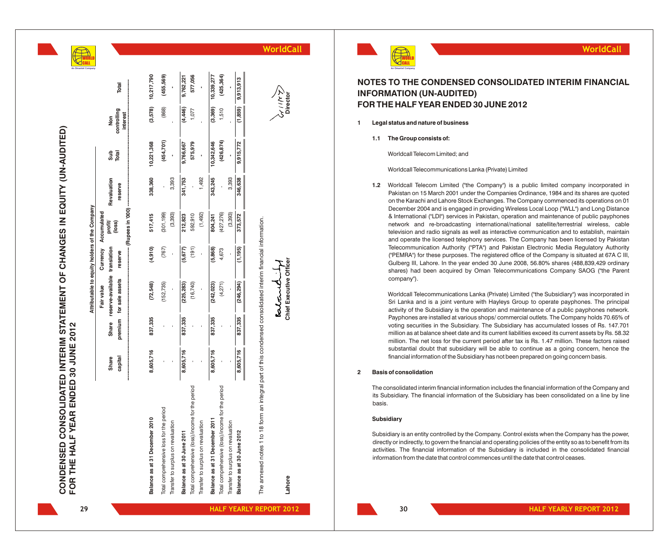**WO** O R L D **CA** A L L

**A n O m a n t e o m p a n y**

|    | Total<br>controlling<br>interest<br>Non<br>Sub<br>Total<br>Revaluation<br>reserve<br>Attributable to equity holders of the Company<br>(Rupees in '000)<br>Accumulated<br>profit/<br>(loss)<br>translation<br>Currency<br>reserve<br>reserve-available<br>for sale assets<br>Fair value | 10,217,790<br>(3,578)<br>10,221,368<br>338,360<br>517,415<br>(4,910)<br>(72,548)<br>837,335 | (152, 735) | (455, 569)<br>(868)<br>(454, 701)<br>3,393<br>(301, 199)<br>(3,393)<br>(767)  | 9,762,221<br>(4,446)<br>9,766,667<br>341,753<br>212,823<br>(5, 677)<br>(225, 283)<br>837,335 | 577,056<br>1,077<br>575,979<br>592,910<br>(191)<br>(16,740) | 1,492<br>(1,492)                   | 10,339,277<br>(3,369)<br>10,342,646<br>343,245<br>804,241<br>(5,868)<br>(242, 023)<br>837,335 | (425, 364)<br>1,510<br>(426, 874)<br>3,393<br>(427, 276)<br>(3,393)<br>4,673<br>(4, 271) | 9,913,913<br>(1,859)<br>9,915,772<br>346,638<br>373,572<br>(1, 195)<br>(246, 294)<br>837,335 | Chief Executive Off<br>alano                                                                                            | $\mathbf{1}$   | 1.1<br>1.2 | NOTES TO THE CONDENSED CONSOLIDATED INTERIM FINANCI<br><b>INFORMATION (UN-AUDITED)</b><br>FOR THE HALF YEAR ENDED 30 JUNE 2012<br>Legal status and nature of business<br>The Group consists of:<br>Worldcall Telecom Limited; and<br>Worldcall Telecommunications Lanka (Private) Limited<br>Worldcall Telecom Limited ("the Company") is a public limited company incorporate<br>Pakistan on 15 March 2001 under the Companies Ordinance, 1984 and its shares are que<br>on the Karachi and Lahore Stock Exchanges. The Company commenced its operations of<br>December 2004 and is engaged in providing Wireless Local Loop ("WLL") and Long Dista<br>& International ("LDI") services in Pakistan, operation and maintenance of public paypho<br>network and re-broadcasting international/national satellite/terrestrial wireless, c<br>television and radio signals as well as interactive communication and to establish, mair<br>and operate the licensed telephony services. The Company has been licensed by Paki<br>Telecommunication Authority ("PTA") and Pakistan Electronic Media Regulatory Auth<br>("PEMRA") for these purposes. The registered office of the Company is situated at 67A<br>Gulberg III, Lahore. In the year ended 30 June 2008, 56.80% shares (488,839,429 ordi<br>shares) had been acquired by Oman Telecommunications Company SAOG ("the Pa<br>company").<br>Worldcall Telecommunications Lanka (Private) Limited ("the Subsidiary") was incorporate<br>Sri Lanka and is a joint venture with Hayleys Group to operate payphones. The pring<br>activity of the Subsidiary is the operation and maintenance of a public payphones netw<br>Payphones are installed at various shops/commercial outlets. The Company holds 70.65<br>voting securities in the Subsidiary. The Subsidiary has accumulated losses of Rs. 147 |
|----|----------------------------------------------------------------------------------------------------------------------------------------------------------------------------------------------------------------------------------------------------------------------------------------|---------------------------------------------------------------------------------------------|------------|-------------------------------------------------------------------------------|----------------------------------------------------------------------------------------------|-------------------------------------------------------------|------------------------------------|-----------------------------------------------------------------------------------------------|------------------------------------------------------------------------------------------|----------------------------------------------------------------------------------------------|-------------------------------------------------------------------------------------------------------------------------|----------------|------------|-----------------------------------------------------------------------------------------------------------------------------------------------------------------------------------------------------------------------------------------------------------------------------------------------------------------------------------------------------------------------------------------------------------------------------------------------------------------------------------------------------------------------------------------------------------------------------------------------------------------------------------------------------------------------------------------------------------------------------------------------------------------------------------------------------------------------------------------------------------------------------------------------------------------------------------------------------------------------------------------------------------------------------------------------------------------------------------------------------------------------------------------------------------------------------------------------------------------------------------------------------------------------------------------------------------------------------------------------------------------------------------------------------------------------------------------------------------------------------------------------------------------------------------------------------------------------------------------------------------------------------------------------------------------------------------------------------------------------------------------------------------------------------------------------------------------------------------------------------------|
|    | premium<br>Share<br>capital<br>Share                                                                                                                                                                                                                                                   | 8,605,716                                                                                   |            |                                                                               | 8,605,716                                                                                    |                                                             |                                    | 8,605,716                                                                                     |                                                                                          | 8,605,716                                                                                    |                                                                                                                         | $\overline{2}$ |            | million as at balance sheet date and its current liabilities exceed its current assets by Rs. 5<br>million. The net loss for the current period after tax is Rs. 1.47 million. These factors ra<br>substantial doubt that subsidiary will be able to continue as a going concern, hence<br>financial information of the Subsidiary has not been prepared on going concern basis.<br><b>Basis of consolidation</b>                                                                                                                                                                                                                                                                                                                                                                                                                                                                                                                                                                                                                                                                                                                                                                                                                                                                                                                                                                                                                                                                                                                                                                                                                                                                                                                                                                                                                                         |
|    |                                                                                                                                                                                                                                                                                        | Balance as at 31 December 2010                                                              |            | Total comprehensive loss for the period<br>Transfer to surplus on revaluation | Balance as at 30 June 2011                                                                   | Total comprehensive (loss)/income for the period            | Transfer to surplus on revaluation | Balance as at 31 December 201                                                                 | Total comprehensive (loss)/income for the period<br>Transfer to surplus on revaluation   | Balance as at 30 June 2012                                                                   | The annexed notes 1 to 18 form an integral part of this condensed consolidated interim financial information.<br>Lahore |                |            | The consolidated interim financial information includes the financial information of the Company<br>its Subsidiary. The financial information of the Subsidiary has been consolidated on a line by<br>basis.<br>Subsidiary<br>Subsidiary is an entity controlled by the Company. Control exists when the Company has the po<br>directly or indirectly, to govern the financial and operating policies of the entity so as to benefit fro<br>activities. The financial information of the Subsidiary is included in the consolidated finan<br>information from the date that control commences until the date that control ceases.                                                                                                                                                                                                                                                                                                                                                                                                                                                                                                                                                                                                                                                                                                                                                                                                                                                                                                                                                                                                                                                                                                                                                                                                                         |
| 29 |                                                                                                                                                                                                                                                                                        |                                                                                             |            |                                                                               |                                                                                              |                                                             |                                    |                                                                                               |                                                                                          |                                                                                              | <b>HALF YEARLY REPORT 2012</b>                                                                                          |                |            | 30<br><b>HALF YEARLY REPORT 2012</b>                                                                                                                                                                                                                                                                                                                                                                                                                                                                                                                                                                                                                                                                                                                                                                                                                                                                                                                                                                                                                                                                                                                                                                                                                                                                                                                                                                                                                                                                                                                                                                                                                                                                                                                                                                                                                      |



**WorldCall**



## **NOTES TO THE CONDENSED CONSOLIDATED INTERIM FINANCIAL INFORMATION (UN-AUDITED) FOR THE HALF YEAR ENDED 30 JUNE 2012**

- **1 Legal status and nature of business**
	- **1.1 The Group consists of:**

1.2 Worldcall Telecom Limited ("the Company") is a public limited company incorporated in Pakistan on 15 March 2001 under the Companies Ordinance, 1984 and its shares are quoted on the Karachi and Lahore Stock Exchanges. The Company commenced its operations on 01 December 2004 and is engaged in providing Wireless Local Loop ("WLL") and Long Distance & International ("LDI") services in Pakistan, operation and maintenance of public payphones network and re-broadcasting international/national satellite/terrestrial wireless, cable television and radio signals as well as interactive communication and to establish, maintain and operate the licensed telephony services. The Company has been licensed by Pakistan Telecommunication Authority ("PTA") and Pakistan Electronic Media Regulatory Authority ("PEMRA") for these purposes. The registered office of the Company is situated at 67A C III, Gulberg III, Lahore. In the year ended 30 June 2008, 56.80% shares (488,839,429 ordinary shares) had been acquired by Oman Telecommunications Company SAOG ("the Parent company"). **Example 16 Communication CONSOLIDATED INTERHM FINANCIA**<br> **EXAMPLE THE CONDENSED CONSOLIDATED INTERHM FINANCIAL COMMEMBER (UNLA AUDITEED)**<br> **THE HALF YEAR ENDED 30 JUNE 2012**<br> **Example the date that control commences unt** 

Worldcall Telecommunications Lanka (Private) Limited ("the Subsidiary") was incorporated in Sri Lanka and is a joint venture with Hayleys Group to operate payphones. The principal activity of the Subsidiary is the operation and maintenance of a public payphones network. Payphones are installed at various shops/ commercial outlets. The Company holds 70.65% of voting securities in the Subsidiary. The Subsidiary has accumulated losses of Rs. 147.701 million as at balance sheet date and its current liabilities exceed its current assets by Rs. 58.32 million. The net loss for the current period after tax is Rs. 1.47 million. These factors raised substantial doubt that subsidiary will be able to continue as a going concern, hence the financial information of the Subsidiary has not been prepared on going concern basis.

### **2 Basis of consolidation**

### **Subsidiary**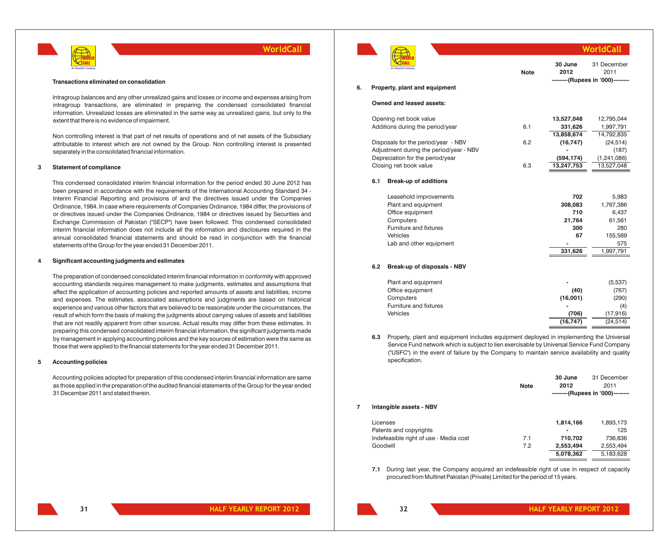

#### **Transactions eliminated on consolidation**

Intragroup balances and any other unrealized gains and losses or income and expenses arising from intragroup transactions, are eliminated in preparing the condensed consolidated financial information. Unrealized losses are eliminated in the same way as unrealized gains, but only to the extent that there is no evidence of impairment.

Non controlling interest is that part of net results of operations and of net assets of the Subsidiary attributable to interest which are not owned by the Group. Non controlling interest is presented separately in the consolidated financial information.

### **3 Statement of compliance**

This condensed consolidated interim financial information for the period ended 30 June 2012 has been prepared in accordance with the requirements of the International Accounting Standard 34 - Interim Financial Reporting and provisions of and the directives issued under the Companies Ordinance, 1984. In case where requirements of Companies Ordinance, 1984 differ, the provisions of or directives issued under the Companies Ordinance, 1984 or directives issued by Securities and Exchange Commission of Pakistan ("SECP") have been followed. This condensed consolidated interim financial information does not include all the information and disclosures required in the annual consolidated financial statements and should be read in conjunction with the financial statements of the Group for the year ended 31 December 2011.

### **4 Significant accounting judgments and estimates**

The preparation of condensed consolidated interim financial information in conformity with approved accounting standards requires management to make judgments, estimates and assumptions that affect the application of accounting policies and reported amounts of assets and liabilities, income and expenses. The estimates, associated assumptions and judgments are based on historical experience and various other factors that are believed to be reasonable under the circumstances, the result of which form the basis of making the judgments about carrying values of assets and liabilities that are not readily apparent from other sources. Actual results may differ from these estimates. In preparing this condensed consolidated interim financial information, the significant judgments made by management in applying accounting policies and the key sources of estimation were the same as those that were applied to the financial statements for the year ended 31 December 2011.

### **5 Accounting policies**

Accounting policies adopted for preparation of this condensed interim financial information are same as those applied in the preparation of the audited financial statements of the Group for the year ended 31 December 2011 and stated therein.



|    |     |                                                     |             |                 | /orldCall                                               |  |  |
|----|-----|-----------------------------------------------------|-------------|-----------------|---------------------------------------------------------|--|--|
| 6. |     | An Omantel Company<br>Property, plant and equipment | <b>Note</b> | 30 June<br>2012 | 31 December<br>2011<br>--------(Rupees in '000)-------- |  |  |
|    |     |                                                     |             |                 |                                                         |  |  |
|    |     | Owned and leased assets:                            |             |                 |                                                         |  |  |
|    |     | Opening net book value                              |             | 13,527,048      | 12,795,044                                              |  |  |
|    |     | Additions during the period/year                    | 6.1         | 331,626         | 1,997,791                                               |  |  |
|    |     |                                                     |             | 13,858,674      | 14,792,835                                              |  |  |
|    |     | Disposals for the period/year - NBV                 | 6.2         | (16, 747)       | (24, 514)                                               |  |  |
|    |     | Adjustment during the period/year - NBV             |             |                 | (187)                                                   |  |  |
|    |     | Depreciation for the period/year                    |             | (594, 174)      | (1, 241, 086)                                           |  |  |
|    |     | Closing net book value                              | 6.3         | 13,247,753      | 13,527,048                                              |  |  |
|    | 6.1 | <b>Break-up of additions</b>                        |             |                 |                                                         |  |  |
|    |     | Leasehold improvements                              |             | 702             | 5,983                                                   |  |  |
|    |     | Plant and equipment                                 |             | 308,083         | 1,767,386                                               |  |  |
|    |     | Office equipment                                    |             | 710             | 6,437                                                   |  |  |
|    |     | Computers                                           |             | 21,764          | 61,561                                                  |  |  |
|    |     | Furniture and fixtures                              |             | 300             | 280                                                     |  |  |
|    |     | Vehicles                                            |             | 67              | 155,569                                                 |  |  |
|    |     | Lab and other equipment                             |             |                 | 575                                                     |  |  |
|    |     |                                                     |             | 331,626         | 1,997,791                                               |  |  |
|    | 6.2 | Break-up of disposals - NBV                         |             |                 |                                                         |  |  |
|    |     | Plant and equipment                                 |             |                 | (5,537)                                                 |  |  |
|    |     | Office equipment                                    |             | (40)            | (767)                                                   |  |  |
|    |     | Computers                                           |             | (16,001)        | (290)                                                   |  |  |
|    |     | Furniture and fixtures                              |             |                 | (4)                                                     |  |  |
|    |     | Vehicles                                            |             | (706)           | (17, 916)                                               |  |  |
|    |     |                                                     |             | (16.747)        | (24.514)                                                |  |  |

**6.3** Property, plant and equipment includes equipment deployed in implementing the Universal Service Fund network which is subject to lien exercisable by Universal Service Fund Company ("USFC") in the event of failure by the Company to maintain service availability and quality specification.

|   |                                        |             | 30 June   | 31 December                      |
|---|----------------------------------------|-------------|-----------|----------------------------------|
|   |                                        | <b>Note</b> | 2012      | 2011                             |
|   |                                        |             |           | --------(Rupees in '000)-------- |
| 7 | Intangible assets - NBV                |             |           |                                  |
|   | Licenses                               |             | 1,814,166 | 1,893,173                        |
|   | Patents and copyrights                 |             |           | 125                              |
|   | Indefeasible right of use - Media cost | 7.1         | 710,702   | 736,836                          |
|   | Goodwill                               | 7.2         | 2,553,494 | 2,553,494                        |
|   |                                        |             | 5.078.362 | 5,183,628                        |

**7.1** During last year, the Company acquired an indefeasible right of use in respect of capacity procured from Multinet Pakistan (Private) Limited for the period of 15 years.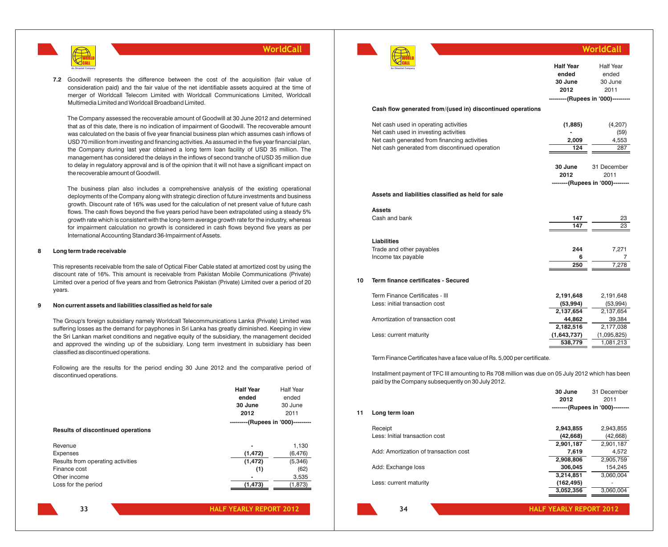

**7.2** Goodwill represents the difference between the cost of the acquisition (fair value of consideration paid) and the fair value of the net identifiable assets acquired at the time of merger of Worldcall Telecom Limited with Worldcall Communications Limited, Worldcall Multimedia Limited and Worldcall Broadband Limited.

The Company assessed the recoverable amount of Goodwill at 30 June 2012 and determined that as of this date, there is no indication of impairment of Goodwill. The recoverable amount was calculated on the basis of five year financial business plan which assumes cash inflows of USD 70 million from investing and financing activities. As assumed in the five year financial plan, the Company during last year obtained a long term loan facility of USD 35 million. The management has considered the delays in the inflows of second tranche of USD 35 million due to delay in regulatory approval and is of the opinion that it will not have a significant impact on the recoverable amount of Goodwill.

The business plan also includes a comprehensive analysis of the existing operational deployments of the Company along with strategic direction of future investments and business growth. Discount rate of 16% was used for the calculation of net present value of future cash flows. The cash flows beyond the five years period have been extrapolated using a steady 5% growth rate which is consistent with the long-term average growth rate for the industry, whereas for impairment calculation no growth is considered in cash flows beyond five years as per International Accounting Standard 36-Impairment of Assets.

### **8 Long term trade receivable**

This represents receivable from the sale of Optical Fiber Cable stated at amortized cost by using the discount rate of 16%. This amount is receivable from Pakistan Mobile Communications (Private) Limited over a period of five years and from Getronics Pakistan (Private) Limited over a period of 20 years.

### **9 Non current assets and liabilities classified as held for sale**

The Group's foreign subsidiary namely Worldcall Telecommunications Lanka (Private) Limited was suffering losses as the demand for payphones in Sri Lanka has greatly diminished. Keeping in view the Sri Lankan market conditions and negative equity of the subsidiary, the management decided and approved the winding up of the subsidiary. Long term investment in subsidiary has been classified as discontinued operations.

Following are the results for the period ending 30 June 2012 and the comparative period of discontinued operations.

|                                           | <b>Half Year</b><br>ended<br>30 June<br>2012 | <b>Half Year</b><br>ended<br>30 June<br>2011 |
|-------------------------------------------|----------------------------------------------|----------------------------------------------|
|                                           | ---------(Rupees in '000)---------           |                                              |
| <b>Results of discontinued operations</b> |                                              |                                              |
| Revenue                                   |                                              | 1,130                                        |
| Expenses                                  | (1, 472)                                     | (6, 476)                                     |
| Results from operating activities         | (1, 472)                                     | (5, 346)                                     |
| Finance cost                              | (1)                                          | (62)                                         |
| Other income                              | -                                            | 3,535                                        |
| Loss for the period                       | (1, 473)                                     | (1, 873)                                     |

|    |                                                                                                                                                                                  | <b>Half Year</b><br>ended<br>30 June<br>2012 | <b>Half Year</b><br>ended<br>30 June<br>2011<br>---------(Rupees in '000)--------- |
|----|----------------------------------------------------------------------------------------------------------------------------------------------------------------------------------|----------------------------------------------|------------------------------------------------------------------------------------|
|    | Cash flow generated from/(used in) discontinued operations                                                                                                                       |                                              |                                                                                    |
|    | Net cash used in operating activities<br>Net cash used in investing activities<br>Net cash generated from financing activities<br>Net cash generated from discontinued operation | (1,885)<br>2,009<br>124                      | (4,207)<br>(59)<br>4,553<br>287                                                    |
|    |                                                                                                                                                                                  | 30 June<br>2012                              | 31 December<br>2011<br>--------(Rupees in '000)--------                            |
|    | Assets and liabilities classified as held for sale                                                                                                                               |                                              |                                                                                    |
|    | <b>Assets</b>                                                                                                                                                                    |                                              |                                                                                    |
|    | Cash and bank                                                                                                                                                                    | 147<br>147                                   | 23<br>23                                                                           |
|    | <b>Liabilities</b>                                                                                                                                                               |                                              |                                                                                    |
|    | Trade and other payables<br>Income tax payable                                                                                                                                   | 244<br>6<br>250                              | 7,271<br>7<br>7,278                                                                |
|    |                                                                                                                                                                                  |                                              |                                                                                    |
| 10 | Term finance certificates - Secured                                                                                                                                              |                                              |                                                                                    |
|    | Term Finance Certificates - III                                                                                                                                                  | 2,191,648                                    | 2,191,648                                                                          |
|    | Less: initial transaction cost                                                                                                                                                   | (53,994)<br>2,137,654                        | (53,994)<br>2,137,654                                                              |
|    | Amortization of transaction cost                                                                                                                                                 | 44,862                                       | 39,384                                                                             |
|    | Less: current maturity                                                                                                                                                           | 2,182,516<br>(1,643,737)                     | 2,177,038<br>(1,095,825)                                                           |
|    |                                                                                                                                                                                  | 538,779                                      | 1,081,213                                                                          |

Term Finance Certificates have a face value of Rs. 5,000 per certificate.

Installment payment of TFC III amounting to Rs 708 million was due on 05 July 2012 which has been paid by the Company subsequently on 30 July 2012.

| 11 | Long term loan                        | 30 June<br>2012<br>--------(Rupees in '000)-------- | 31 December<br>2011 |
|----|---------------------------------------|-----------------------------------------------------|---------------------|
|    | Receipt                               | 2,943,855                                           | 2,943,855           |
|    | Less: Initial transaction cost        | (42, 668)                                           | (42, 668)           |
|    |                                       | 2,901,187                                           | 2,901,187           |
|    | Add: Amortization of transaction cost | 7,619                                               | 4,572               |
|    |                                       | 2,908,806                                           | 2,905,759           |
|    | Add: Exchange loss                    | 306,045                                             | 154,245             |
|    |                                       | 3,214,851                                           | 3,060,004           |
|    | Less: current maturity                | (162, 495)                                          |                     |
|    |                                       | 3,052,356                                           | 3.060.004           |
|    |                                       |                                                     |                     |

**34**

**133 HALF YEARLY REPORT 2012 HALF YEARLY REPORT 2012 12 <b>134 12 12 134 HALF YEARLY REPORT 2012** 

**WorldCall**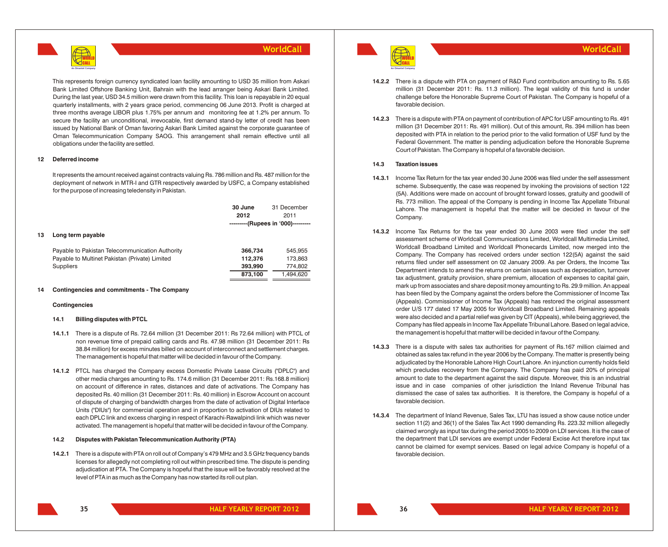

This represents foreign currency syndicated loan facility amounting to USD 35 million from Askari Bank Limited Offshore Banking Unit, Bahrain with the lead arranger being Askari Bank Limited. During the last year, USD 34.5 million were drawn from this facility. This loan is repayable in 20 equal quarterly installments, with 2 years grace period, commencing 06 June 2013. Profit is charged at three months average LIBOR plus 1.75% per annum and monitoring fee at 1.2% per annum. To secure the facility an unconditional, irrevocable, first demand stand-by letter of credit has been issued by National Bank of Oman favoring Askari Bank Limited against the corporate guarantee of Oman Telecommunication Company SAOG. This arrangement shall remain effective until all obligations under the facility are settled.

### **12 Deferred income**

It represents the amount received against contracts valuing Rs. 786 million and Rs. 487 million for the deployment of network in MTR-I and GTR respectively awarded by USFC, a Company established for the purpose of increasing teledensity in Pakistan.

|    |                                                 | 30 June<br>2012 | 31 December<br>2011                |  |
|----|-------------------------------------------------|-----------------|------------------------------------|--|
|    |                                                 |                 | ---------(Rupees in '000)--------- |  |
| 13 | Long term payable                               |                 |                                    |  |
|    | Payable to Pakistan Telecommunication Authority | 366,734         | 545,955                            |  |
|    | Payable to Multinet Pakistan (Private) Limited  | 112,376         | 173,863                            |  |
|    | <b>Suppliers</b>                                | 393,990         | 774,802                            |  |
|    |                                                 | 873,100         | 1.494.620                          |  |

### **14 Contingencies and commitments - The Company**

### **Contingencies**

### **14.1 Billing disputes with PTCL**

- **14.1.1** There is a dispute of Rs. 72.64 million (31 December 2011: Rs 72.64 million) with PTCL of non revenue time of prepaid calling cards and Rs. 47.98 million (31 December 2011: Rs 38.84 million) for excess minutes billed on account of interconnect and settlement charges. The management is hopeful that matter will be decided in favour of the Company.
- **14.1.2** PTCL has charged the Company excess Domestic Private Lease Circuits ("DPLC") and other media charges amounting to Rs. 174.6 million (31 December 2011: Rs.168.8 million) on account of difference in rates, distances and date of activations. The Company has deposited Rs. 40 million (31 December 2011: Rs. 40 million) in Escrow Account on account of dispute of charging of bandwidth charges from the date of activation of Digital Interface Units ("DIUs") for commercial operation and in proportion to activation of DIUs related to each DPLC link and excess charging in respect of Karachi-Rawalpindi link which was never activated. The management is hopeful that matter will be decided in favour of the Company.

### **14.2 Disputes with Pakistan Telecommunication Authority (PTA)**

**14.2.1** There is a dispute with PTA on roll out of Company's 479 MHz and 3.5 GHz frequency bands licenses for allegedly not completing roll out within prescribed time. The dispute is pending adjudication at PTA. The Company is hopeful that the issue will be favorably resolved at the level of PTA in as much as the Company has now started its roll out plan.



- **14.2.2** There is a dispute with PTA on payment of R&D Fund contribution amounting to Rs. 5.65 million (31 December 2011: Rs. 11.3 million). The legal validity of this fund is under challenge before the Honorable Supreme Court of Pakistan. The Company is hopeful of a favorable decision.
- **14.2.3** There is a dispute with PTA on payment of contribution of APC for USF amounting to Rs. 491 million (31 December 2011: Rs. 491 million). Out of this amount, Rs. 394 million has been deposited with PTA in relation to the period prior to the valid formation of USF fund by the Federal Government. The matter is pending adjudication before the Honorable Supreme Court of Pakistan. The Company is hopeful of a favorable decision.

### **14.3 Taxation issues**

- **14.3.1** Income Tax Return for the tax year ended 30 June 2006 was filed under the self assessment scheme. Subsequently, the case was reopened by invoking the provisions of section 122 (5A). Additions were made on account of brought forward losses, gratuity and goodwill of Rs. 773 million. The appeal of the Company is pending in Income Tax Appellate Tribunal Lahore. The management is hopeful that the matter will be decided in favour of the Company.
- **14.3.2** Income Tax Returns for the tax year ended 30 June 2003 were filed under the self assessment scheme of Worldcall Communications Limited, Worldcall Multimedia Limited, Worldcall Broadband Limited and Worldcall Phonecards Limited, now merged into the Company. The Company has received orders under section 122(5A) against the said returns filed under self assessment on 02 January 2009. As per Orders, the Income Tax Department intends to amend the returns on certain issues such as depreciation, turnover tax adjustment, gratuity provision, share premium, allocation of expenses to capital gain, mark up from associates and share deposit money amounting to Rs. 29.9 million. An appeal has been filed by the Company against the orders before the Commissioner of Income Tax (Appeals). Commissioner of Income Tax (Appeals) has restored the original assessment order U/S 177 dated 17 May 2005 for Worldcall Broadband Limited. Remaining appeals were also decided and a partial relief was given by CIT (Appeals), while being aggrieved, the Company has filed appeals in Income Tax Appellate Tribunal Lahore. Based on legal advice, the management is hopeful that matter will be decided in favour of the Company.
- **14.3.3** There is a dispute with sales tax authorities for payment of Rs.167 million claimed and obtained as sales tax refund in the year 2006 by the Company. The matter is presently being adjudicated by the Honorable Lahore High Court Lahore. An injunction currently holds field which precludes recovery from the Company. The Company has paid 20% of principal amount to date to the department against the said dispute. Moreover, this is an industrial issue and in case companies of other jurisdiction the Inland Revenue Tribunal has dismissed the case of sales tax authorities. It is therefore, the Company is hopeful of a favorable decision.
- **14.3.4** The department of Inland Revenue, Sales Tax, LTU has issued a show cause notice under section 11(2) and 36(1) of the Sales Tax Act 1990 demanding Rs. 223.32 million allegedly claimed wrongly as input tax during the period 2005 to 2009 on LDI services. It is the case of the department that LDI services are exempt under Federal Excise Act therefore input tax cannot be claimed for exempt services. Based on legal advice Company is hopeful of a favorable decision.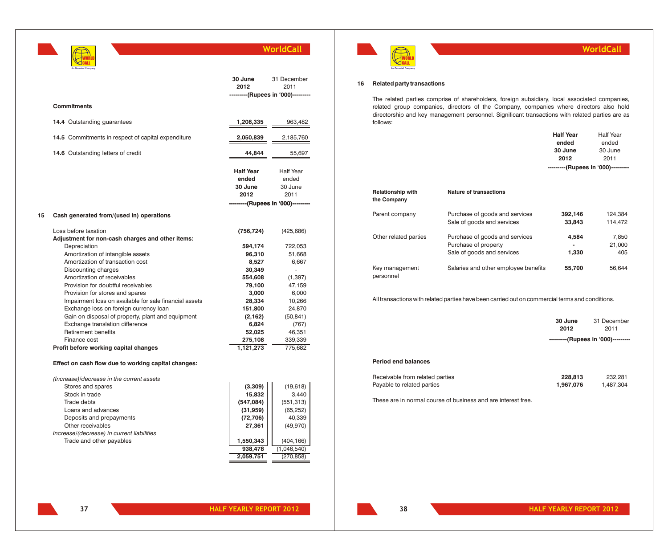| An Omantel Company |
|--------------------|

|    |                                                                                                                                                                                                                                                                       | 30 June<br>2012                              | 31 December<br>2011<br>---------(Rupees in '000)--------- |
|----|-----------------------------------------------------------------------------------------------------------------------------------------------------------------------------------------------------------------------------------------------------------------------|----------------------------------------------|-----------------------------------------------------------|
|    | <b>Commitments</b>                                                                                                                                                                                                                                                    |                                              |                                                           |
|    | 14.4 Outstanding guarantees                                                                                                                                                                                                                                           | 1,208,335                                    | 963,482                                                   |
|    | 14.5 Commitments in respect of capital expenditure                                                                                                                                                                                                                    | 2,050,839                                    | 2,185,760                                                 |
|    | 14.6 Outstanding letters of credit                                                                                                                                                                                                                                    | 44,844                                       | 55,697                                                    |
|    |                                                                                                                                                                                                                                                                       | <b>Half Year</b><br>ended<br>30 June<br>2012 | <b>Half Year</b><br>ended<br>30 June<br>2011              |
|    |                                                                                                                                                                                                                                                                       | ------(Rupees in '000)----                   |                                                           |
| 15 | Cash generated from/(used in) operations                                                                                                                                                                                                                              |                                              |                                                           |
|    | Loss before taxation<br>Adjustment for non-cash charges and other items:                                                                                                                                                                                              | (756, 724)                                   | (425, 686)                                                |
|    | Depreciation<br>Amortization of intangible assets<br>Amortization of transaction cost                                                                                                                                                                                 | 594,174<br>96,310<br>8,527                   | 722,053<br>51,668<br>6,667                                |
|    | Discounting charges                                                                                                                                                                                                                                                   | 30,349                                       | $\frac{1}{2}$                                             |
|    | Amortization of receivables<br>Provision for doubtful receivables                                                                                                                                                                                                     | 554,608<br>79,100                            | (1, 397)<br>47,159                                        |
|    | Provision for stores and spares<br>Impairment loss on available for sale financial assets                                                                                                                                                                             | 3,000<br>28,334                              | 6,000<br>10,266                                           |
|    | Exchange loss on foreign currency loan<br>Gain on disposal of property, plant and equipment                                                                                                                                                                           | 151,800<br>(2, 162)                          | 24,870<br>(50, 841)                                       |
|    | Exchange translation difference                                                                                                                                                                                                                                       | 6,824                                        | (767)                                                     |
|    | <b>Retirement benefits</b><br>Finance cost                                                                                                                                                                                                                            | 52,025<br>275,108                            | 46,351<br>339,339                                         |
|    | Profit before working capital changes                                                                                                                                                                                                                                 | 1,121,273                                    | 775,682                                                   |
|    | Effect on cash flow due to working capital changes:                                                                                                                                                                                                                   |                                              |                                                           |
|    | (Increase)/decrease in the current assets                                                                                                                                                                                                                             |                                              |                                                           |
|    | Stores and spares<br><b><i><u>P.A. L. P.A. L. But the Contract of the Contract of the Contract of the Contract of the Contract of the Contract of the Contract of the Contract of the Contract of the Contract of the Contract of the Contract of the Con</u></i></b> | (3,309)                                      | (19, 618)                                                 |

| Stores and spares                          | (3,309)    | (19,618)    |
|--------------------------------------------|------------|-------------|
| Stock in trade                             | 15.832     | 3.440       |
| Trade debts                                | (547, 084) | (551, 313)  |
| Loans and advances                         | (31, 959)  | (65, 252)   |
| Deposits and prepayments                   | (72, 706)  | 40.339      |
| Other receivables                          | 27.361     | (49, 970)   |
| Increase/(decrease) in current liabilities |            |             |
| Trade and other payables                   | 1,550,343  | (404, 166)  |
|                                            | 938,478    | (1,046,540) |
|                                            | 2.059.751  | (270, 858)  |



## **WorldCall**

### **16 Related party transactions**

The related parties comprise of shareholders, foreign subsidiary, local associated companies, related group companies, directors of the Company, companies where directors also hold directorship and key management personnel. Significant transactions with related parties are as follows:

|                                         |                                      | <b>Half Year</b>                   | <b>Half Year</b> |
|-----------------------------------------|--------------------------------------|------------------------------------|------------------|
|                                         |                                      | ended                              | ended            |
|                                         |                                      | 30 June                            | 30 June          |
|                                         |                                      | 2012                               | 2011             |
|                                         |                                      | ---------(Rupees in '000)--------- |                  |
|                                         |                                      |                                    |                  |
|                                         |                                      |                                    |                  |
| <b>Relationship with</b><br>the Company | <b>Nature of transactions</b>        |                                    |                  |
| Parent company                          | Purchase of goods and services       | 392,146                            | 124,384          |
|                                         | Sale of goods and services           | 33,843                             | 114,472          |
| Other related parties                   | Purchase of goods and services       | 4,584                              | 7,850            |
|                                         | Purchase of property                 |                                    | 21,000           |
|                                         | Sale of goods and services           | 1,330                              | 405              |
| Key management<br>personnel             | Salaries and other employee benefits | 55,700                             | 56,644           |

All transactions with related parties have been carried out on commercial terms and conditions.

|                 | ---------(Rupees in '000)--------- |
|-----------------|------------------------------------|
| 30 June<br>2012 | 31 December<br>2011                |
|                 |                                    |

## **Period end balances**

| Receivable from related parties | 228,813   | 232.281   |
|---------------------------------|-----------|-----------|
| Payable to related parties      | 1.967.076 | 1.487.304 |

These are in normal course of business and are interest free.